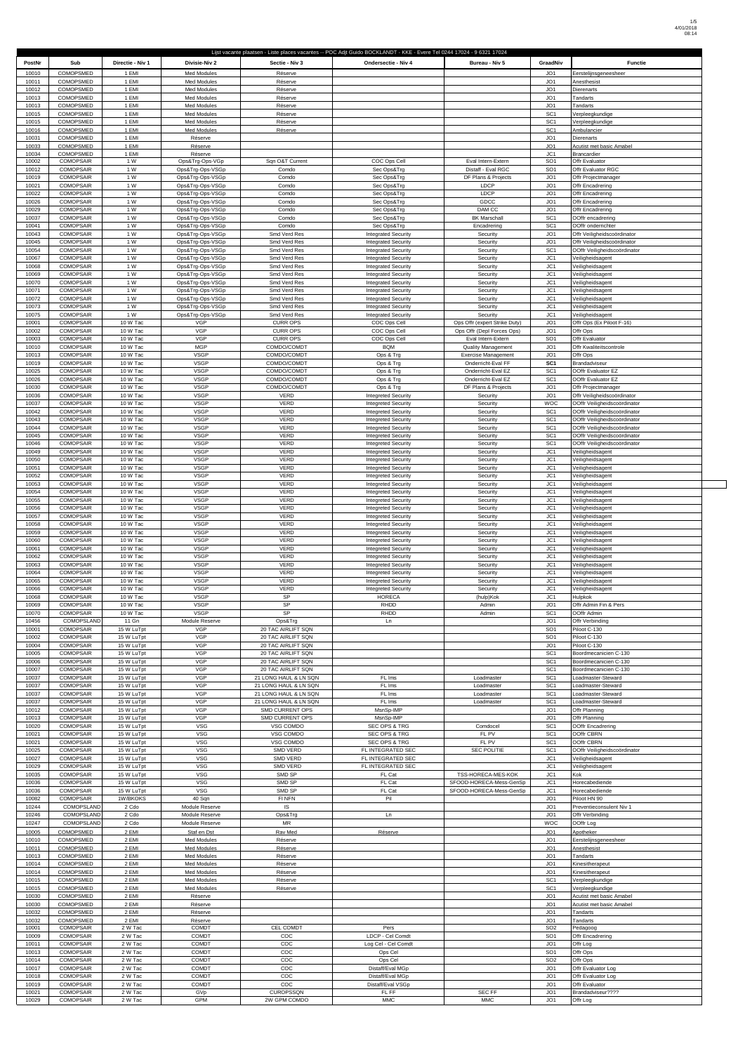$\overline{\phantom{a}}$ 

| PostNr         | Sub                                  | Directie - Niv 1         | Divisie-Niv 2                            | Sectie - Niv 3                                 | Lijst vacante plaatsen - Liste places vacantes -- POC Adjt Guido BOCKLANDT - KKE - Evere Tel 0244 17024 - 9 6321 17024<br>Ondersectie - Niv 4 | Bureau - Niv 5                                     | GraadNiv                           | <b>Functie</b>                                               |
|----------------|--------------------------------------|--------------------------|------------------------------------------|------------------------------------------------|-----------------------------------------------------------------------------------------------------------------------------------------------|----------------------------------------------------|------------------------------------|--------------------------------------------------------------|
| 10010          | <b>COMOPSMED</b>                     | 1 EMI                    | <b>Med Modules</b>                       | Réserve                                        |                                                                                                                                               |                                                    | JO1                                | Eerstelijnsgeneesheer                                        |
| 10011<br>10012 | <b>COMOPSMED</b><br>COMOPSMED        | 1 EMI<br>1 EMI           | <b>Med Modules</b><br><b>Med Modules</b> | Réserve<br>Réserve                             |                                                                                                                                               |                                                    | JO <sub>1</sub><br>JO1             | Anesthesist<br>Dierenarts                                    |
| 10013          | COMOPSMED                            | 1 EMI                    | <b>Med Modules</b>                       | Réserve                                        |                                                                                                                                               |                                                    | JO <sub>1</sub>                    | Tandarts                                                     |
| 10013<br>10015 | COMOPSMED<br><b>COMOPSMED</b>        | 1 EMI<br>1 EMI           | <b>Med Modules</b><br><b>Med Modules</b> | Réserve<br>Réserve                             |                                                                                                                                               |                                                    | JO <sub>1</sub><br>SC <sub>1</sub> | Tandarts<br>Verpleegkundige                                  |
| 10015<br>10016 | COMOPSMED<br>COMOPSMED               | 1 EMI<br>1 EMI           | <b>Med Modules</b><br><b>Med Modules</b> | Réserve                                        |                                                                                                                                               |                                                    | SC <sub>1</sub><br>SC <sub>1</sub> | Verpleegkundige<br>Ambulancier                               |
| 10031          | COMOPSMED                            | 1 EMI                    | Réserve                                  | Réserve                                        |                                                                                                                                               |                                                    | JO1                                | <b>Dierenarts</b>                                            |
| 10033<br>10034 | <b>COMOPSMED</b><br>COMOPSMED        | 1 EMI<br>1 EMI           | Réserve<br>Réserve                       |                                                |                                                                                                                                               |                                                    | JO1<br>JC1                         | Acutist met basic Amabel<br>Brancardier                      |
| 10002          | <b>COMOPSAIR</b>                     | 1 W                      | Ops&Trg-Ops-VGp                          | Sqn O&T Current                                | COC Ops Cell                                                                                                                                  | Eval Intern-Extern                                 | SO <sub>1</sub>                    | Offr Evaluator                                               |
| 10012<br>10019 | <b>COMOPSAIR</b><br><b>COMOPSAIR</b> | 1 W<br>1 W               | Ops&Trg-Ops-VSGp<br>Ops&Trg-Ops-VSGp     | Comdo<br>Comdo                                 | Sec Ops&Trg<br>Sec Ops&Trg                                                                                                                    | Distaff - Eval RGC<br>DF Plans & Projects          | SO <sub>1</sub><br>JO <sub>1</sub> | Offr Evaluator RGC<br>Offr Projectmanager                    |
| 10021          | <b>COMOPSAIR</b>                     | 1 W                      | Ops&Trg-Ops-VSGp                         | Comdo                                          | Sec Ops&Trg                                                                                                                                   | LDCP                                               | JO <sub>1</sub>                    | Offr Encadrering                                             |
| 10022<br>10026 | <b>COMOPSAIR</b><br><b>COMOPSAIR</b> | 1 W<br>1 W               | Ops&Trg-Ops-VSGp<br>Ops&Trg-Ops-VSGp     | Comdo<br>Comdo                                 | Sec Ops&Trg<br>Sec Ops&Trg                                                                                                                    | LDCP<br>GDCC                                       | JO <sub>1</sub><br>JO <sub>1</sub> | Offr Encadrering<br>Offr Encadrering                         |
| 10029          | <b>COMOPSAIR</b>                     | 1 W                      | Ops&Trg-Ops-VSGp                         | Comdo                                          | Sec Ops&Trg                                                                                                                                   | DAM CC                                             | JO1                                | Offr Encadrering                                             |
| 10037<br>10041 | <b>COMOPSAIR</b><br><b>COMOPSAIR</b> | 1 W<br>1 W               | Ops&Trg-Ops-VSGp<br>Ops&Trg-Ops-VSGp     | Comdo<br>Comdo                                 | Sec Ops&Trg<br>Sec Ops&Trg                                                                                                                    | <b>BK Marschall</b><br>Encadrering                 | SC <sub>1</sub><br>SC <sub>1</sub> | OOffr encadrering<br>OOffr onderrichter                      |
| 10043          | <b>COMOPSAIR</b>                     | 1 W                      | Ops&Trg-Ops-VSGp                         | Smd Verd Res                                   | <b>Integrated Security</b>                                                                                                                    | Security                                           | JO <sub>1</sub>                    | Offr Veiligheidscoördinator                                  |
| 10045<br>10054 | <b>COMOPSAIR</b><br><b>COMOPSAIR</b> | 1 W<br>1 W               | Ops&Trg-Ops-VSGp<br>Ops&Trg-Ops-VSGp     | Smd Verd Res<br>Smd Verd Res                   | <b>Integrated Security</b><br><b>Integrated Security</b>                                                                                      | Security<br>Security                               | JO1<br>SC <sub>1</sub>             | Offr Veiligheidscoördinator<br>OOffr Veiligheidscoördinator  |
| 10067          | <b>COMOPSAIR</b>                     | 1 W                      | Ops&Trg-Ops-VSGp                         | Smd Verd Res                                   | <b>Integrated Security</b>                                                                                                                    | Security                                           | JC1                                | Veiligheidsagent                                             |
| 10068<br>10069 | <b>COMOPSAIR</b><br><b>COMOPSAIR</b> | 1 W<br>1 W               | Ops&Trg-Ops-VSGp<br>Ops&Trg-Ops-VSGp     | Smd Verd Res<br>Smd Verd Res                   | <b>Integrated Security</b><br><b>Integrated Security</b>                                                                                      | Security<br>Security                               | JC1<br>JC1                         | Veiligheidsagent<br>Veiligheidsagent                         |
| 10070<br>10071 | <b>COMOPSAIR</b><br><b>COMOPSAIR</b> | 1 W<br>1 W               | Ops&Trg-Ops-VSGp<br>Ops&Trg-Ops-VSGp     | Smd Verd Res<br>Smd Verd Res                   | <b>Integrated Security</b><br><b>Integrated Security</b>                                                                                      | Security<br>Security                               | JC1<br>JC1                         | Veiligheidsagent<br>Veiligheidsagent                         |
| 10072          | <b>COMOPSAIR</b>                     | 1 W                      | Ops&Trg-Ops-VSGp                         | Smd Verd Res                                   | <b>Integrated Security</b>                                                                                                                    | Security                                           | JC1                                | Veiligheidsagent                                             |
| 10073<br>10075 | <b>COMOPSAIR</b><br><b>COMOPSAIR</b> | 1 W<br>1 W               | Ops&Trg-Ops-VSGp<br>Ops&Trg-Ops-VSGp     | Smd Verd Res<br>Smd Verd Res                   | <b>Integrated Security</b><br><b>Integrated Security</b>                                                                                      | Security<br>Security                               | JC1<br>JC1                         | Veiligheidsagent<br>Veiligheidsagent                         |
| 10001          | <b>COMOPSAIR</b>                     | 10 W Tac                 | <b>VGP</b>                               | <b>CURR OPS</b>                                | COC Ops Cell                                                                                                                                  | Ops Offr (expert Strike Duty)                      | JO <sub>1</sub>                    | Offr Ops (Ex Piloot F-16)                                    |
| 10002<br>10003 | <b>COMOPSAIR</b><br><b>COMOPSAIR</b> | 10 W Tac<br>10 W Tac     | <b>VGP</b><br>VGP                        | <b>CURR OPS</b><br><b>CURR OPS</b>             | COC Ops Cell<br>COC Ops Cell                                                                                                                  | Ops Offr (Depl Forces Ops)<br>Eval Intern-Extern   | JO <sub>1</sub><br>SO <sub>1</sub> | Offr Ops<br>Offr Evaluator                                   |
| 10010          | <b>COMOPSAIR</b>                     | 10 W Tac                 | <b>MGP</b>                               | COMDO/COMDT                                    | <b>BQM</b>                                                                                                                                    | <b>Quality Management</b>                          | JO <sub>1</sub>                    | Offr Kwaliteitscontrole                                      |
| 10013<br>10019 | <b>COMOPSAIR</b><br><b>COMOPSAIR</b> | 10 W Tac<br>10 W Tac     | <b>VSGP</b><br><b>VSGP</b>               | COMDO/COMDT<br>COMDO/COMDT                     | Ops & Trg<br>Ops & Trg                                                                                                                        | <b>Exercise Management</b><br>Onderricht-Eval FF   | JO <sub>1</sub><br>SC <sub>1</sub> | Offr Ops<br>Brandadviseur                                    |
| 10025          | <b>COMOPSAIR</b>                     | 10 W Tac                 | <b>VSGP</b>                              | COMDO/COMDT                                    | Ops & Trg                                                                                                                                     | Onderricht-Eval EZ                                 | SC <sub>1</sub>                    | OOffr Evaluator EZ                                           |
| 10026<br>10030 | <b>COMOPSAIR</b><br><b>COMOPSAIR</b> | 10 W Tac<br>10 W Tac     | <b>VSGP</b><br><b>VSGP</b>               | COMDO/COMDT<br>COMDO/COMDT                     | Ops & Trg<br>Ops & Trg                                                                                                                        | Onderricht-Eval EZ<br>DF Plans & Projects          | SC <sub>1</sub><br>JO <sub>1</sub> | OOffr Evaluator EZ<br>Offr Projectmanager                    |
| 10036          | <b>COMOPSAIR</b>                     | 10 W Tac                 | <b>VSGP</b>                              | VERD                                           | <b>Integreted Security</b>                                                                                                                    | Security                                           | JO <sub>1</sub>                    | Offr Veiligheidscoördinator                                  |
| 10037<br>10042 | <b>COMOPSAIR</b><br><b>COMOPSAIR</b> | 10 W Tac<br>10 W Tac     | <b>VSGP</b><br><b>VSGP</b>               | <b>VERD</b><br>VERD                            | <b>Integreted Security</b><br><b>Integreted Security</b>                                                                                      | Security<br>Security                               | <b>WOC</b><br>SC <sub>1</sub>      | OOffr Veiligheidscoördinator<br>OOffr Veiligheidscoördinator |
| 10043          | <b>COMOPSAIR</b>                     | 10 W Tac                 | <b>VSGP</b>                              | <b>VERD</b>                                    | <b>Integreted Security</b>                                                                                                                    | Security                                           | SC <sub>1</sub>                    | OOffr Veiligheidscoördinator                                 |
| 10044<br>10045 | <b>COMOPSAIR</b><br><b>COMOPSAIR</b> | 10 W Tac<br>10 W Tac     | <b>VSGP</b><br><b>VSGP</b>               | VERD<br>VERD                                   | <b>Integreted Security</b><br><b>Integreted Security</b>                                                                                      | Security<br>Security                               | SC <sub>1</sub><br>SC <sub>1</sub> | OOffr Veiligheidscoördinator<br>OOffr Veiligheidscoördinator |
| 10046          | <b>COMOPSAIR</b>                     | 10 W Tac                 | <b>VSGP</b>                              | <b>VERD</b>                                    | <b>Integreted Security</b>                                                                                                                    | Security                                           | SC <sub>1</sub>                    | OOffr Veiligheidscoördinator                                 |
| 10049<br>10050 | <b>COMOPSAIR</b><br><b>COMOPSAIR</b> | 10 W Tac<br>10 W Tac     | <b>VSGP</b><br><b>VSGP</b>               | <b>VERD</b><br><b>VERD</b>                     | <b>Integreted Security</b><br><b>Integreted Security</b>                                                                                      | Security<br>Security                               | JC1<br>JC1                         | Veiligheidsagent<br>Veiligheidsagent                         |
| 10051          | <b>COMOPSAIR</b>                     | 10 W Tac                 | <b>VSGP</b>                              | <b>VERD</b>                                    | <b>Integreted Security</b>                                                                                                                    | Security                                           | JC1                                | Veiligheidsagent                                             |
| 10052<br>10053 | <b>COMOPSAIR</b><br><b>COMOPSAIR</b> | 10 W Tac<br>10 W Tac     | <b>VSGP</b><br><b>VSGP</b>               | <b>VERD</b><br><b>VERD</b>                     | <b>Integreted Security</b><br><b>Integreted Security</b>                                                                                      | Security<br>Security                               | JC1<br>JC1                         | Veiligheidsagent<br>Veiligheidsagent                         |
| 10054          | <b>COMOPSAIR</b>                     | 10 W Tac                 | <b>VSGP</b>                              | <b>VERD</b>                                    | <b>Integreted Security</b>                                                                                                                    | Security                                           | JC1                                | Veiligheidsagent                                             |
| 10055<br>10056 | <b>COMOPSAIR</b><br><b>COMOPSAIR</b> | 10 W Tac<br>10 W Tac     | <b>VSGP</b><br><b>VSGP</b>               | <b>VERD</b><br><b>VERD</b>                     | <b>Integreted Security</b><br><b>Integreted Security</b>                                                                                      | Security<br>Security                               | JC1<br>JC1                         | Veiligheidsagent<br>Veiligheidsagent                         |
| 10057          | <b>COMOPSAIR</b>                     | 10 W Tac                 | <b>VSGP</b>                              | <b>VERD</b>                                    | <b>Integreted Security</b>                                                                                                                    | Security                                           | JC1                                | Veiligheidsagent                                             |
| 10058<br>10059 | <b>COMOPSAIR</b><br><b>COMOPSAIR</b> | 10 W Tac<br>10 W Tac     | <b>VSGP</b><br><b>VSGP</b>               | VERD<br>VERD                                   | <b>Integreted Security</b><br><b>Integreted Security</b>                                                                                      | Security<br>Security                               | JC1<br>JC1                         | Veiligheidsagent<br>Veiligheidsagent                         |
| 10060          | <b>COMOPSAIR</b>                     | 10 W Tac                 | <b>VSGP</b>                              | VERD                                           | <b>Integreted Security</b>                                                                                                                    | Security                                           | JC1                                | Veiligheidsagent                                             |
| 10061<br>10062 | <b>COMOPSAIR</b><br><b>COMOPSAIR</b> | 10 W Tac<br>10 W Tac     | <b>VSGP</b><br><b>VSGP</b>               | VERD<br>VERD                                   | <b>Integreted Security</b><br><b>Integreted Security</b>                                                                                      | Security<br>Security                               | JC1<br>JC1                         | Veiligheidsagent<br>Veiligheidsagent                         |
| 10063          | <b>COMOPSAIR</b>                     | 10 W Tac                 | <b>VSGP</b>                              | VERD                                           | <b>Integreted Security</b>                                                                                                                    | Security                                           | JC1                                | Veiligheidsagent                                             |
| 10064<br>10065 | <b>COMOPSAIR</b><br><b>COMOPSAIR</b> | 10 W Tac<br>10 W Tac     | <b>VSGP</b><br><b>VSGP</b>               | <b>VERD</b><br>VERD                            | <b>Integreted Security</b><br><b>Integreted Security</b>                                                                                      | Security<br>Security                               | JC1<br>JC1                         | Veiligheidsagent<br>Veiligheidsagent                         |
| 10066          | <b>COMOPSAIR</b>                     | 10 W Tac                 | <b>VSGP</b>                              | VERD                                           | <b>Integreted Security</b>                                                                                                                    | Security                                           | JC1                                | Veiligheidsagent                                             |
| 10068<br>10069 | <b>COMOPSAIR</b><br><b>COMOPSAIR</b> | 10 W Tac<br>10 W Tac     | <b>VSGP</b><br><b>VSGP</b>               | SP<br>SP                                       | <b>HORECA</b><br>RHDD                                                                                                                         | (hulp)Kok<br>Admin                                 | JC1<br>JO1                         | Hulpkok<br>Offr Admin Fin & Pers                             |
| 10070          | <b>COMOPSAIR</b>                     | 10 W Tac                 | <b>VSGP</b>                              | SP                                             | RHDD                                                                                                                                          | Admin                                              | SC <sub>1</sub>                    | OOffr Admin                                                  |
| 10456<br>10001 | COMOPSLAND<br><b>COMOPSAIR</b>       | 11 Gn<br>15 W LuTpt      | Module Reserve<br><b>VGP</b>             | Ops&Trg<br>20 TAC AIRLIFT SQN                  | Ln                                                                                                                                            |                                                    | JO <sub>1</sub><br>SO <sub>1</sub> | Offr Verbinding<br>Piloot C-130                              |
| 10002          | <b>COMOPSAIR</b>                     | 15 W LuTpt               | VGP<br>VGP                               | 20 TAC AIRLIFT SQN                             |                                                                                                                                               |                                                    | SO <sub>1</sub>                    | Piloot C-130                                                 |
| 10004<br>10005 | <b>COMOPSAIR</b><br><b>COMOPSAIR</b> | 15 W LuTpt<br>15 W LuTpt | VGP                                      | 20 TAC AIRLIFT SQN<br>20 TAC AIRLIFT SQN       |                                                                                                                                               |                                                    | JO <sub>1</sub><br>SC <sub>1</sub> | Piloot C-130<br>Boordmecanicien C-130                        |
| 10006<br>10007 | <b>COMOPSAIR</b><br><b>COMOPSAIR</b> | 15 W LuTpt<br>15 W LuTpt | VGP<br>VGP                               | 20 TAC AIRLIFT SQN<br>20 TAC AIRLIFT SQN       |                                                                                                                                               |                                                    | SC <sub>1</sub><br>SC <sub>1</sub> | Boordmecanicien C-130<br>Boordmecanicien C-130               |
| 10037          | <b>COMOPSAIR</b>                     | 15 W LuTpt               | VGP                                      | 21 LONG HAUL & LN SQN                          | FL Ims                                                                                                                                        | Loadmaster                                         | SC <sub>1</sub>                    | Loadmaster-Steward                                           |
| 10037<br>10037 | <b>COMOPSAIR</b><br><b>COMOPSAIR</b> | 15 W LuTpt<br>15 W LuTpt | VGP<br>VGP                               | 21 LONG HAUL & LN SQN<br>21 LONG HAUL & LN SQN | FL Ims<br>FL Ims                                                                                                                              | Loadmaster<br>Loadmaster                           | SC <sub>1</sub><br>SC <sub>1</sub> | Loadmaster-Steward<br>Loadmaster-Steward                     |
| 10037          | <b>COMOPSAIR</b>                     | 15 W LuTpt               | VGP                                      | 21 LONG HAUL & LN SQN                          | FL Ims                                                                                                                                        | Loadmaster                                         | SC <sub>1</sub>                    | Loadmaster-Steward                                           |
| 10012<br>10013 | <b>COMOPSAIR</b><br><b>COMOPSAIR</b> | 15 W LuTpt<br>15 W LuTpt | VGP<br>VGP                               | SMD CURRENT OPS<br>SMD CURRENT OPS             | MsnSp-IMP<br>MsnSp-IMP                                                                                                                        |                                                    | JO1<br>JO <sub>1</sub>             | Offr Planning<br>Offr Planning                               |
| 10020          | <b>COMOPSAIR</b>                     | 15 W LuTpt               | <b>VSG</b>                               | VSG COMDO                                      | <b>SEC OPS &amp; TRG</b>                                                                                                                      | Comdocel                                           | SC <sub>1</sub>                    | OOffr Encadrering                                            |
| 10021<br>10021 | <b>COMOPSAIR</b><br><b>COMOPSAIR</b> | 15 W LuTpt<br>15 W LuTpt | <b>VSG</b><br><b>VSG</b>                 | VSG COMDO<br>VSG COMDO                         | <b>SEC OPS &amp; TRG</b><br>SEC OPS & TRG                                                                                                     | FL PV<br>FL PV                                     | SC <sub>1</sub><br>SC <sub>1</sub> | OOffr CBRN<br>OOffr CBRN                                     |
| 10025          | <b>COMOPSAIR</b>                     | 15 W LuTpt               | <b>VSG</b>                               | SMD VERD                                       | FL INTEGRATED SEC                                                                                                                             | <b>SEC POLITIE</b>                                 | SC <sub>1</sub>                    | OOffr Veiligheidscoördinator                                 |
| 10027<br>10029 | <b>COMOPSAIR</b><br><b>COMOPSAIR</b> | 15 W LuTpt<br>15 W LuTpt | <b>VSG</b><br>VSG                        | SMD VERD<br>SMD VERD                           | FL INTEGRATED SEC<br>FL INTEGRATED SEC                                                                                                        |                                                    | JC1<br>JC1                         | Veiligheidsagent<br>Veiligheidsagent                         |
| 10035          | <b>COMOPSAIR</b>                     | 15 W LuTpt               | <b>VSG</b>                               | SMD SP                                         | FL Cat                                                                                                                                        | TSS-HORECA-MES-KOK                                 | JC1                                | Kok                                                          |
| 10036<br>10036 | <b>COMOPSAIR</b><br><b>COMOPSAIR</b> | 15 W LuTpt<br>15 W LuTpt | VSG<br>VSG                               | SMD SP<br>SMD SP                               | FL Cat<br>FL Cat                                                                                                                              | SFOOD-HORECA-Mess-GenSp<br>SFOOD-HORECA-Mess-GenSp | JC1<br>JC1                         | Horecabediende<br>Horecabediende                             |
| 10082          | <b>COMOPSAIR</b>                     | 1W/BKOKS                 | 40 Sqn                                   | FI NFN                                         | Pil                                                                                                                                           |                                                    | JO <sub>1</sub>                    | Piloot HN 90                                                 |
| 10244<br>10246 | COMOPSLAND<br>COMOPSLAND             | 2 Cdo<br>2 Cdo           | Module Reserve<br>Module Reserve         | IS<br>Ops&Trg                                  | Ln                                                                                                                                            |                                                    | JO <sub>1</sub><br>JO <sub>1</sub> | Preventieconsulent Niv 1<br>Offr Verbinding                  |
| 10247          | COMOPSLAND                           | 2 Cdo                    | Module Reserve                           | <b>MR</b>                                      |                                                                                                                                               |                                                    | <b>WOC</b>                         | OOffr Log                                                    |
| 10005<br>10010 | COMOPSMED<br>COMOPSMED               | 2 EMI<br>2 EMI           | Staf en Dst<br><b>Med Modules</b>        | Rav Med<br>Réserve                             | Réserve                                                                                                                                       |                                                    | JO <sub>1</sub><br>JO <sub>1</sub> | Apotheker<br>Eerstelijnsgeneesheer                           |
| 10011          | <b>COMOPSMED</b>                     | 2 EMI                    | <b>Med Modules</b>                       | Réserve                                        |                                                                                                                                               |                                                    | JO1                                | Anesthesist                                                  |
| 10013<br>10014 | COMOPSMED<br><b>COMOPSMED</b>        | 2 EMI<br>2 EMI           | <b>Med Modules</b><br><b>Med Modules</b> | Réserve<br>Réserve                             |                                                                                                                                               |                                                    | JO <sub>1</sub><br>JO <sub>1</sub> | Tandarts<br>Kinesitherapeut                                  |
| 10014          | COMOPSMED                            | 2 EMI                    | <b>Med Modules</b>                       | Réserve                                        |                                                                                                                                               |                                                    | JO <sub>1</sub>                    | Kinesitherapeut                                              |
| 10015<br>10015 | COMOPSMED<br><b>COMOPSMED</b>        | 2 EMI<br>2 EMI           | <b>Med Modules</b><br><b>Med Modules</b> | Réserve<br>Réserve                             |                                                                                                                                               |                                                    | SC <sub>1</sub><br>SC <sub>1</sub> | Verpleegkundige<br>Verpleegkundige                           |
| 10030          | COMOPSMED                            | 2 EMI                    | Réserve                                  |                                                |                                                                                                                                               |                                                    | JO <sub>1</sub>                    | Acutist met basic Amabel                                     |
| 10030<br>10032 | COMOPSMED<br><b>COMOPSMED</b>        | 2 EMI<br>2 EMI           | Réserve<br>Réserve                       |                                                |                                                                                                                                               |                                                    | JO <sub>1</sub><br>JO <sub>1</sub> | Acutist met basic Amabel<br>Tandarts                         |
| 10032          | <b>COMOPSMED</b>                     | 2 EMI                    | Réserve                                  |                                                |                                                                                                                                               |                                                    | JO <sub>1</sub>                    | Tandarts                                                     |
| 10001<br>10009 | <b>COMOPSAIR</b><br><b>COMOPSAIR</b> | 2 W Tac<br>2 W Tac       | <b>COMDT</b><br><b>COMDT</b>             | <b>CEL COMDT</b><br>COC                        | Pers<br>LDCP - Cel Comdt                                                                                                                      |                                                    | SO <sub>2</sub><br>SO <sub>1</sub> | Pedagoog<br>Offr Encadrering                                 |
| 10011          | <b>COMOPSAIR</b>                     | 2 W Tac                  | COMDT                                    | COC                                            | Log Cel - Cel Comdt                                                                                                                           |                                                    | JO1                                | Offr Log                                                     |
| 10013<br>10014 | <b>COMOPSAIR</b><br><b>COMOPSAIR</b> | 2 W Tac<br>2 W Tac       | <b>COMDT</b><br><b>COMDT</b>             | COC<br>COC                                     | Ops Cel<br>Ops Cel                                                                                                                            |                                                    | SO <sub>1</sub><br>SO <sub>2</sub> | Offr Ops<br>Offr Ops                                         |
| 10017          | <b>COMOPSAIR</b>                     | 2 W Tac                  | <b>COMDT</b>                             | COC                                            | Distaff/Eval MGp                                                                                                                              |                                                    | JO1                                | Offr Evaluator Log                                           |
| 10018<br>10019 | <b>COMOPSAIR</b><br><b>COMOPSAIR</b> | 2 W Tac<br>2 W Tac       | <b>COMDT</b><br>COMDT                    | COC<br>COC                                     | Distaff/Eval MGp<br>Distaff/Eval VSGp                                                                                                         |                                                    | JO <sub>1</sub><br>JO1             | Offr Evaluator Log<br>Offr Evaluator                         |
| 10021<br>10029 | <b>COMOPSAIR</b>                     | 2 W Tac                  | GVp<br><b>GPM</b>                        | <b>CUROPSSQN</b><br>2W GPM COMDO               | FL FF<br><b>MMC</b>                                                                                                                           | SEC FF<br><b>MMC</b>                               | JO1<br>JO1                         | Brandadviseur????<br>Offr Log                                |
|                | <b>COMOPSAIR</b>                     | 2 W Tac                  |                                          |                                                |                                                                                                                                               |                                                    |                                    |                                                              |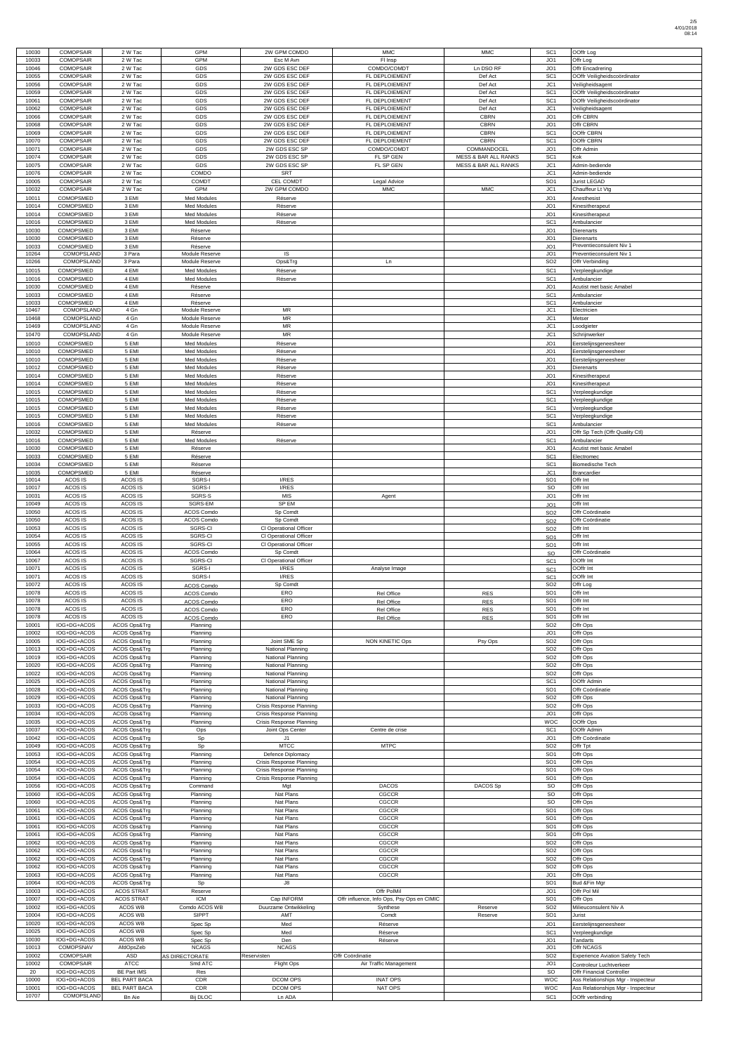| 10030          | <b>COMOPSAIR</b>                     | 2 W Tac                      | GPM                                      | 2W GPM COMDO                                         | <b>MMC</b>                                 | <b>MMC</b>                      | SC <sub>1</sub>                    | OOffr Log                              |
|----------------|--------------------------------------|------------------------------|------------------------------------------|------------------------------------------------------|--------------------------------------------|---------------------------------|------------------------------------|----------------------------------------|
| 10033          | <b>COMOPSAIR</b>                     | 2 W Tac                      | <b>GPM</b>                               | Esc M Avn                                            | FI Insp                                    |                                 | JO <sub>1</sub>                    | Offr Log                               |
| 10046          | <b>COMOPSAIR</b>                     | 2 W Tac                      | GDS                                      | 2W GDS ESC DEF                                       | COMDO/COMDT                                | Ln DSO RF                       | JO1                                | Offr Encadrering                       |
| 10055          | <b>COMOPSAIR</b>                     | 2 W Tac                      | GDS                                      | 2W GDS ESC DEF                                       | FL DEPLOIEMENT                             | Def Act                         | SC <sub>1</sub>                    | OOffr Veiligheidscoördinator           |
| 10056          | <b>COMOPSAIR</b>                     | 2 W Tac                      | GDS                                      | 2W GDS ESC DEF                                       | FL DEPLOIEMENT                             | Def Act                         | JC1                                | Veiligheidsagent                       |
| 10059          | <b>COMOPSAIR</b>                     | 2 W Tac                      | GDS                                      | 2W GDS ESC DEF                                       | FL DEPLOIEMENT                             | Def Act                         | SC <sub>1</sub>                    | OOffr Veiligheidscoördinator           |
| 10061          | <b>COMOPSAIR</b>                     | 2 W Tac                      | GDS                                      | 2W GDS ESC DEF                                       | FL DEPLOIEMENT                             | Def Act                         | SC <sub>1</sub>                    | OOffr Veiligheidscoördinator           |
| 10062          | <b>COMOPSAIR</b>                     | 2 W Tac                      | GDS                                      | 2W GDS ESC DEF                                       | FL DEPLOIEMENT                             | Def Act                         | JC1                                | Veiligheidsagent                       |
| 10066          | <b>COMOPSAIR</b>                     | 2 W Tac                      | GDS                                      | 2W GDS ESC DEF                                       | FL DEPLOIEMENT                             | <b>CBRN</b>                     | JO <sub>1</sub>                    | Offr CBRN                              |
| 10068          | <b>COMOPSAIR</b>                     | 2 W Tac                      | GDS                                      | 2W GDS ESC DEF                                       | FL DEPLOIEMENT                             | <b>CBRN</b>                     | JO <sub>1</sub>                    | Offr CBRN                              |
| 10069          | <b>COMOPSAIR</b>                     | 2 W Tac                      | GDS                                      | 2W GDS ESC DEF                                       | FL DEPLOIEMENT                             | <b>CBRN</b>                     | SC <sub>1</sub>                    | OOffr CBRN                             |
| 10070          | <b>COMOPSAIR</b>                     | 2 W Tac                      | GDS                                      | 2W GDS ESC DEF                                       | FL DEPLOIEMENT                             | <b>CBRN</b>                     | SC <sub>1</sub>                    | OOffr CBRN                             |
| 10071          | <b>COMOPSAIR</b>                     | 2 W Tac                      | GDS                                      | 2W GDS ESC SP                                        | COMDO/COMDT                                | COMMANDOCEL                     | JO <sub>1</sub>                    | Offr Admin                             |
| 10074          | <b>COMOPSAIR</b>                     | 2 W Tac                      | GDS                                      | 2W GDS ESC SP                                        | FL SP GEN                                  | <b>MESS &amp; BAR ALL RANKS</b> | SC <sub>1</sub>                    | Kok                                    |
| 10075          | <b>COMOPSAIR</b>                     | 2 W Tac                      | GDS                                      | 2W GDS ESC SP                                        | FL SP GEN                                  | <b>MESS &amp; BAR ALL RANKS</b> | JC1                                | Admin-bediende                         |
| 10076<br>10005 | <b>COMOPSAIR</b><br><b>COMOPSAIR</b> | 2 W Tac<br>2 W Tac           | COMDO<br><b>COMDT</b>                    | SRT<br><b>CEL COMDT</b>                              | Legal Advice                               |                                 | JC1<br>SO <sub>1</sub>             | Admin-bediende<br>Jurist LEGAD         |
| 10032          | <b>COMOPSAIR</b>                     | 2 W Tac                      | <b>GPM</b>                               | 2W GPM COMDO                                         | <b>MMC</b>                                 | <b>MMC</b>                      | JC1                                | Chauffeur Lt Vtg                       |
|                |                                      |                              |                                          |                                                      |                                            |                                 | JO <sub>1</sub>                    |                                        |
| 10011<br>10014 | COMOPSMED<br>COMOPSMED               | 3 EMI<br>3 EMI               | <b>Med Modules</b><br><b>Med Modules</b> | Réserve<br>Réserve                                   |                                            |                                 | JO <sub>1</sub>                    | Anesthesist<br>Kinesitherapeut         |
| 10014          | COMOPSMED                            | 3 EMI                        | <b>Med Modules</b>                       |                                                      |                                            |                                 | JO <sub>1</sub>                    | <b>Kinesitherapeut</b>                 |
| 10016          | COMOPSMED                            | 3 EMI                        | <b>Med Modules</b>                       | Réserve<br>Réserve                                   |                                            |                                 | SC <sub>1</sub>                    | Ambulancier                            |
| 10030          | COMOPSMED                            | 3 EMI                        | Réserve                                  |                                                      |                                            |                                 | JO <sub>1</sub>                    | Dierenarts                             |
| 10030          | COMOPSMED                            | 3 EMI                        | Réserve                                  |                                                      |                                            |                                 | JO <sub>1</sub>                    | <b>Dierenarts</b>                      |
| 10033          | <b>COMOPSMED</b>                     | 3 EMI                        | Réserve                                  |                                                      |                                            |                                 | JO <sub>1</sub>                    | Preventieconsulent Niv 1               |
| 10264          | COMOPSLAND                           | 3 Para                       | Module Reserve                           | IS                                                   |                                            |                                 | JO <sub>1</sub>                    | Preventieconsulent Niv 1               |
| 10266          | COMOPSLAND                           | 3 Para                       | Module Reserve                           | Ops&Trg                                              | Ln                                         |                                 | SO <sub>2</sub>                    | Offr Verbinding                        |
| 10015          | <b>COMOPSMED</b>                     | 4 EMI                        | <b>Med Modules</b>                       | Réserve                                              |                                            |                                 | SC <sub>1</sub>                    | Verpleegkundige                        |
| 10016          | <b>COMOPSMED</b>                     | 4 EMI                        | <b>Med Modules</b>                       | Réserve                                              |                                            |                                 | SC <sub>1</sub>                    | Ambulancier                            |
| 10030          | <b>COMOPSMED</b>                     | 4 EMI                        | Réserve                                  |                                                      |                                            |                                 | JO <sub>1</sub>                    | Acutist met basic Amabel               |
| 10033          | <b>COMOPSMED</b>                     | 4 EMI                        | Réserve                                  |                                                      |                                            |                                 | SC <sub>1</sub>                    | Ambulancier                            |
| 10033          | <b>COMOPSMED</b>                     | 4 EMI                        | Réserve                                  |                                                      |                                            |                                 | SC <sub>1</sub>                    | Ambulancier                            |
| 10467          | COMOPSLAND                           | 4 Gn                         | Module Reserve                           | MR                                                   |                                            |                                 | JC1                                | Electricien                            |
| 10468          | COMOPSLAND                           | 4 Gn                         | Module Reserve                           | $\sf MR$                                             |                                            |                                 | JC1                                | Metser                                 |
| 10469          | COMOPSLAND                           | 4 Gn                         | Module Reserve                           | <b>MR</b>                                            |                                            |                                 | JC1                                | Loodgieter                             |
| 10470          | COMOPSLAND                           | 4 Gn                         | Module Reserve                           | <b>MR</b>                                            |                                            |                                 | JC1                                | Schrijnwerker                          |
| 10010          | COMOPSMED                            | 5 EMI                        | <b>Med Modules</b>                       | Réserve                                              |                                            |                                 | JO <sub>1</sub>                    | Eerstelijnsgeneesheer                  |
| 10010          | COMOPSMED                            | 5 EMI                        | Med Modules                              | Réserve                                              |                                            |                                 | JO <sub>1</sub>                    | Eerstelijnsgeneesheer                  |
| 10010          | COMOPSMED                            | 5 EMI                        | <b>Med Modules</b>                       | Réserve                                              |                                            |                                 | JO <sub>1</sub>                    | Eerstelijnsgeneesheer                  |
| 10012          | COMOPSMED                            | 5 EMI                        | <b>Med Modules</b>                       | Réserve                                              |                                            |                                 | JO <sub>1</sub>                    | Dierenarts                             |
| 10014          | COMOPSMED                            | 5 EMI                        | <b>Med Modules</b>                       | Réserve                                              |                                            |                                 | JO <sub>1</sub>                    | Kinesitherapeut                        |
| 10014          | COMOPSMED                            | 5 EMI                        | <b>Med Modules</b>                       | Réserve                                              |                                            |                                 | JO <sub>1</sub>                    | Kinesitherapeut                        |
| 10015          | COMOPSMED                            | 5 EMI                        | <b>Med Modules</b>                       | Réserve                                              |                                            |                                 | SC <sub>1</sub>                    | Verpleeakundiae                        |
| 10015<br>10015 | COMOPSMED<br>COMOPSMED               | 5 EMI<br>5 EMI               | <b>Med Modules</b><br><b>Med Modules</b> | Réserve<br>Réserve                                   |                                            |                                 | SC <sub>1</sub><br>SC <sub>1</sub> | Verpleegkundige<br>Verpleegkundige     |
| 10015          | COMOPSMED                            | 5 EMI                        | <b>Med Modules</b>                       |                                                      |                                            |                                 | SC <sub>1</sub>                    | Verpleegkundige                        |
| 10016          | COMOPSMED                            | 5 EMI                        | <b>Med Modules</b>                       | Réserve<br>Réserve                                   |                                            |                                 | SC <sub>1</sub>                    | Ambulancier                            |
| 10032          | <b>COMOPSMED</b>                     | 5 EMI                        | Réserve                                  |                                                      |                                            |                                 | JO <sub>1</sub>                    | Offr Sp Tech (Offr Quality Ctl)        |
| 10016          | <b>COMOPSMED</b>                     | 5 FMI                        | Med Modules                              | Réserve                                              |                                            |                                 | SC1                                | Ambulancier                            |
| 10030          | COMOPSMED                            | 5 EMI                        | Réserve                                  |                                                      |                                            |                                 | JO1                                | Acutist met basic Amabel               |
| 10033          | COMOPSMED                            | 5 EMI                        | Réserve                                  |                                                      |                                            |                                 | SC <sub>1</sub>                    | Electromec                             |
| 10034          | <b>COMOPSMED</b>                     | 5 EMI                        | Réserve                                  |                                                      |                                            |                                 | SC <sub>1</sub>                    | <b>Biomedische Tech</b>                |
| 10035          | COMOPSMED                            | 5 EMI                        | Réserve                                  |                                                      |                                            |                                 | JC1                                | <b>Brancardier</b>                     |
| 10014          | ACOS IS                              | ACOS IS                      | SGRS-I                                   | I/RES                                                |                                            |                                 | SO <sub>1</sub>                    | Offr Int                               |
| 10017          | ACOS IS                              | ACOS IS                      | SGRS-I                                   | I/RES                                                |                                            |                                 | SO                                 | Offr Int                               |
| 10031          | ACOS IS                              | ACOS IS                      | SGRS-S                                   | <b>MIS</b>                                           | Agent                                      |                                 | JO1                                | Offr Int                               |
| 10049          | ACOS IS                              | ACOS IS                      | SGRS-EM                                  | SP EM                                                |                                            |                                 | JO <sub>1</sub>                    | Offr Int                               |
| 10050          | ACOS IS                              | ACOS IS                      | <b>ACOS Comdo</b>                        | Sp Comdt                                             |                                            |                                 | SO <sub>2</sub>                    | Offr Coördinatie                       |
| 10050          | ACOS IS                              | ACOS IS                      | ACOS Comdo                               | Sp Comdt                                             |                                            |                                 | SO <sub>2</sub>                    | Offr Coördinatie                       |
| 10053          | ACOS IS                              | ACOS IS                      | SGRS-CI                                  | Cl Operational Officer                               |                                            |                                 | SO <sub>2</sub>                    | Offr Int                               |
| 10054          | ACOS IS                              | ACOS IS                      | SGRS-CI                                  | CI Operational Officer                               |                                            |                                 | SO <sub>1</sub>                    | Offr Int                               |
| 10055          | ACOS IS                              | ACOS IS                      | SGRS-CI                                  | Cl Operational Officer                               |                                            |                                 | SO <sub>1</sub>                    | Offr Int                               |
| 10064          | ACOS IS                              | ACOS IS                      | ACOS Comdo                               | Sp Comdt                                             |                                            |                                 | SO                                 | Offr Coördinatie                       |
| 10067          | ACOS IS                              | ACOS IS                      | SGRS-CI                                  | Cl Operational Officer                               |                                            |                                 | SC <sub>1</sub>                    | OOffr Int                              |
| 10071          | ACOS IS                              | ACOS IS                      | SGRS-I                                   | I/RES                                                | Analyse Image                              |                                 | SC <sub>1</sub>                    | OOffr Int                              |
| 10071<br>10072 | ACOS IS<br>ACOS IS                   | ACOS IS<br>ACOS IS           | SGRS-I                                   | I/RES                                                |                                            |                                 | SC <sub>1</sub><br>SO <sub>2</sub> | OOffr Int<br>Offr Log                  |
| 10078          | ACOS IS                              | ACOS IS                      | ACOS Comdo                               | Sp Comdt<br>ERO                                      |                                            |                                 | SO <sub>1</sub>                    | Offr Int                               |
| 10078          | ACOS IS                              | ACOS IS                      | ACOS Comdo<br>ACOS Comdo                 | ERO                                                  | Rel Office<br>Rel Office                   | <b>RES</b><br><b>RES</b>        | SO <sub>1</sub>                    | Offr Int                               |
| 10078          | ACOS IS                              | ACOS IS                      | ACOS Comdo                               | ERO                                                  | Rel Office                                 | <b>RES</b>                      | SO <sub>1</sub>                    | Offr Int                               |
| 10078          | ACOS IS                              | ACOS IS                      | ACOS Comdo                               | ERO                                                  | Rel Office                                 | <b>RES</b>                      | SO <sub>1</sub>                    | Offr Int                               |
| 10001          | IOG+DG+ACOS                          | ACOS Ops&Trg                 | Planning                                 |                                                      |                                            |                                 | SO <sub>2</sub>                    | Offr Ops                               |
| 10002          | IOG+DG+ACOS                          | ACOS Ops&Trg                 | Planning                                 |                                                      |                                            |                                 | JO <sub>1</sub>                    | Offr Ops                               |
| 10005          | IOG+DG+ACOS                          | ACOS Ops&Trg                 | Planning                                 | Joint SME Sp                                         | <b>NON KINETIC Ops</b>                     | Psy Ops                         | SO <sub>2</sub>                    | Offr Ops                               |
| 10013          | IOG+DG+ACOS                          | ACOS Ops&Trg                 | Planning                                 | National Planning                                    |                                            |                                 | SO <sub>2</sub>                    | Offr Ops                               |
| 10019          | IOG+DG+ACOS                          | ACOS Ops&Trg                 | Planning                                 | National Planning                                    |                                            |                                 | SO <sub>2</sub>                    | Offr Ops                               |
| 10020          | IOG+DG+ACOS                          | ACOS Ops&Trg                 | Planning                                 | National Planning                                    |                                            |                                 | SO <sub>2</sub>                    | Offr Ops                               |
| 10022          | IOG+DG+ACOS                          | ACOS Ops&Trg                 | Planning                                 | National Planning                                    |                                            |                                 | SO <sub>2</sub>                    | Offr Ops                               |
| 10025          | IOG+DG+ACOS                          | ACOS Ops&Trg                 | Planning                                 | National Planning                                    |                                            |                                 | SC <sub>1</sub>                    | OOffr Admin                            |
| 10028          | IOG+DG+ACOS                          | ACOS Ops&Trg                 | Planning                                 | National Planning                                    |                                            |                                 | SO <sub>1</sub>                    | Offr Coördinatie                       |
| 10029          | IOG+DG+ACOS                          | ACOS Ops&Trg                 | Planning                                 | National Planning                                    |                                            |                                 | SO <sub>2</sub>                    | Offr Ops                               |
| 10033          | IOG+DG+ACOS<br>IOG+DG+ACOS           | ACOS Ops&Trg                 | Planning                                 | Crisis Response Planning                             |                                            |                                 | SO <sub>2</sub><br>JO <sub>1</sub> | Offr Ops                               |
| 10034<br>10035 | IOG+DG+ACOS                          | ACOS Ops&Trg<br>ACOS Ops&Trg | Planning<br>Planning                     | Crisis Response Planning<br>Crisis Response Planning |                                            |                                 | <b>WOC</b>                         | Offr Ops<br>OOffr Ops                  |
| 10037          | IOG+DG+ACOS                          | ACOS Ops&Trg                 | Ops                                      | Joint Ops Center                                     | Centre de crise                            |                                 | SC <sub>1</sub>                    | OOffr Admin                            |
| 10042          | IOG+DG+ACOS                          | ACOS Ops&Trg                 | Sp                                       | J <sub>1</sub>                                       |                                            |                                 | JO <sub>1</sub>                    | Offr Coördinatie                       |
| 10049          | IOG+DG+ACOS                          | ACOS Ops&Trg                 | Sp                                       | <b>MTCC</b>                                          | <b>MTPC</b>                                |                                 | SO <sub>2</sub>                    | Offr Tpt                               |
| 10053          | IOG+DG+ACOS                          | ACOS Ops&Trg                 | Planning                                 | <b>Defence Diplomacy</b>                             |                                            |                                 | SO <sub>1</sub>                    | Offr Ops                               |
| 10054          | IOG+DG+ACOS                          | ACOS Ops&Trg                 | Planning                                 | Crisis Response Planning                             |                                            |                                 | SO <sub>1</sub>                    | Offr Ops                               |
| 10054          | IOG+DG+ACOS                          | <b>ACOS Ops&amp;Trg</b>      | Planning                                 | Crisis Response Planning                             |                                            |                                 | SO <sub>1</sub>                    | Offr Ops                               |
| 10054          | IOG+DG+ACOS                          | ACOS Ops&Trg                 | Planning                                 | Crisis Response Planning                             |                                            |                                 | SO <sub>1</sub>                    | Offr Ops                               |
| 10056          | IOG+DG+ACOS                          | ACOS Ops&Trg                 | Command                                  | Mgt                                                  | <b>DACOS</b>                               | DACOS Sp                        | SO                                 | Offr Ops                               |
| 10060          | IOG+DG+ACOS                          | ACOS Ops&Trg                 | Planning                                 | Nat Plans                                            | CGCCR                                      |                                 | SO                                 | Offr Ops                               |
| 10060          | IOG+DG+ACOS                          | ACOS Ops&Trg                 | Planning                                 | Nat Plans                                            | CGCCR                                      |                                 | SO                                 | Offr Ops                               |
| 10061          | IOG+DG+ACOS                          | ACOS Ops&Trg                 | Planning                                 | Nat Plans                                            | CGCCR                                      |                                 | SO <sub>1</sub>                    | Offr Ops                               |
| 10061          | IOG+DG+ACOS                          | ACOS Ops&Trg                 | Planning                                 | Nat Plans                                            | CGCCR                                      |                                 | SO <sub>1</sub>                    | Offr Ops                               |
| 10061          | IOG+DG+ACOS                          | ACOS Ops&Trg                 | Planning                                 | Nat Plans                                            | CGCCR                                      |                                 | SO <sub>1</sub>                    | Offr Ops                               |
| 10061          | IOG+DG+ACOS                          | ACOS Ops&Trg                 | Planning                                 | Nat Plans                                            | CGCCR                                      |                                 | SO <sub>1</sub>                    | Offr Ops                               |
| 10062          | IOG+DG+ACOS                          | ACOS Ops&Trg                 | Planning                                 | Nat Plans                                            | CGCCR                                      |                                 | SO <sub>2</sub>                    | Offr Ops                               |
| 10062          | IOG+DG+ACOS                          | ACOS Ops&Trg                 | Planning                                 | Nat Plans                                            | CGCCR                                      |                                 | SO <sub>2</sub>                    | Offr Ops                               |
| 10062<br>10062 | IOG+DG+ACOS<br>IOG+DG+ACOS           | ACOS Ops&Trg<br>ACOS Ops&Trg | Planning<br>Planning                     | Nat Plans<br>Nat Plans                               | CGCCR<br>CGCCR                             |                                 | SO <sub>2</sub><br>SO <sub>2</sub> | Offr Ops<br>Offr Ops                   |
| 10063          | IOG+DG+ACOS                          | ACOS Ops&Trg                 | Planning                                 | Nat Plans                                            | CGCCR                                      |                                 | JO <sub>1</sub>                    | Offr Ops                               |
| 10064          | IOG+DG+ACOS                          | ACOS Ops&Trg                 | Sp                                       | $\mathsf{J}8$                                        |                                            |                                 | SO <sub>1</sub>                    | Bud &Fin Mgr                           |
| 10003          | IOG+DG+ACOS                          | <b>ACOS STRAT</b>            | Reserve                                  |                                                      | Offr PolMil                                |                                 | JO <sub>1</sub>                    | Offr Pol Mil                           |
| 10007          | IOG+DG+ACOS                          | ACOS STRAT                   | <b>ICM</b>                               | Cap INFORM                                           | Offr influence, Info Ops, Psy Ops en CIMIC |                                 | SO <sub>1</sub>                    | Offr Ops                               |
| 10002          | IOG+DG+ACOS                          | ACOS WB                      | Comdo ACOS WB                            | Duurzame Ontwikkeling                                | Synthese                                   | Reserve                         | SO <sub>2</sub>                    | Milieuconsulent Niv A                  |
| 10004          | IOG+DG+ACOS                          | ACOS WB                      | <b>SIPPT</b>                             | AMT                                                  | Comdt                                      | Reserve                         | SO <sub>1</sub>                    | Jurist                                 |
| 10020          | IOG+DG+ACOS                          | ACOS WB                      | Spec Sp                                  | Med                                                  | Réserve                                    |                                 | JO <sub>1</sub>                    | Eerstelijnsgeneesheer                  |
| 10025          | IOG+DG+ACOS                          | ACOS WB                      | Spec Sp                                  | Med                                                  | Réserve                                    |                                 | SC <sub>1</sub>                    | Verpleegkundige                        |
| 10030          | IOG+DG+ACOS                          | ACOS WB                      | Spec Sp                                  | Den                                                  | Réserve                                    |                                 | JO <sub>1</sub>                    | Tandarts                               |
| 10013          | COMOPSNAV                            | AfdOpsZeb                    | <b>NCAGS</b>                             | <b>NCAGS</b>                                         |                                            |                                 | JO <sub>1</sub>                    | Offr NCAGS                             |
| 10002          | <b>COMOPSAIR</b>                     | ASD                          | AS DIRECTORATE                           | Reservisten                                          | Offr Coördinatie                           |                                 | SO <sub>2</sub>                    | <b>Experience Aviation Safety Tech</b> |
| 10002          | <b>COMOPSAIR</b>                     | <b>ATCC</b>                  | Smd ATC                                  | <b>Flight Ops</b>                                    | Air Traffic Management                     |                                 | JO <sub>1</sub>                    | Controleur Luchtverkeer                |
| 20             | IOG+DG+ACOS                          | <b>BE Part IMS</b>           | Res                                      |                                                      |                                            |                                 | SO                                 | Offr Financial Controller              |
| 10000          | IOG+DG+ACOS                          | <b>BEL PART BACA</b>         | CDR                                      | DCOM OPS                                             | <b>INAT OPS</b>                            |                                 | <b>WOC</b>                         | Ass Relationships Mgr - Inspecteur     |
| 10001          | IOG+DG+ACOS                          | <b>BEL PART BACA</b>         | CDR                                      | DCOM OPS                                             | NAT OPS                                    |                                 | <b>WOC</b>                         | Ass Relationships Mgr - Inspecteur     |
| 10707          | COMOPSLAND                           | Bn Aie                       | <b>Bij DLOC</b>                          | Ln ADA                                               |                                            |                                 | SC <sub>1</sub>                    | OOffr verbinding                       |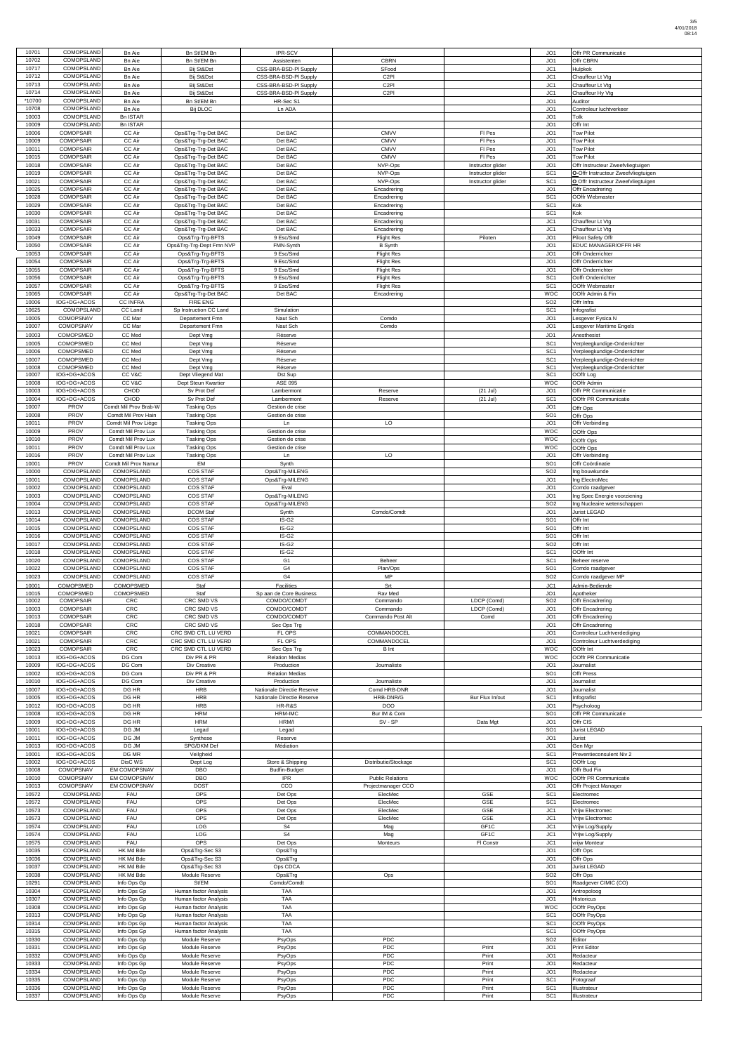| 10701          | COMOPSLAND                           | <b>Bn Aie</b>                              | Bn St/EM Bn                                    | IPR-SCV                                                  |                                               |                          | JO1                                | Offr PR Communicatie                                         |
|----------------|--------------------------------------|--------------------------------------------|------------------------------------------------|----------------------------------------------------------|-----------------------------------------------|--------------------------|------------------------------------|--------------------------------------------------------------|
| 10702          | COMOPSLAND                           | <b>Bn Aie</b>                              | Bn St/EM Bn                                    | Assistenten                                              | <b>CBRN</b>                                   |                          | JO <sub>1</sub>                    | Offr CBRN                                                    |
| 10717<br>10712 | COMOPSLAND<br>COMOPSLAND             | <b>Bn Aie</b><br><b>Bn Aie</b>             | Bij St&Dst<br>Bij St&Dst                       | CSS-BRA-BSD-PI Supply<br>CSS-BRA-BSD-PI Supply           | SFood<br>C <sub>2PI</sub>                     |                          | JC1<br>JC1                         | Hulpkok<br>Chauffeur Lt Vtg                                  |
| 10713          | COMOPSLAND                           | <b>Bn Aie</b>                              | Bij St&Dst                                     | CSS-BRA-BSD-PI Supply                                    | C <sub>2</sub> PI                             |                          | JC1                                | Chauffeur Lt Vtg                                             |
| 10714          | COMOPSLAND                           | <b>Bn</b> Aie                              | Bij St&Dst                                     | CSS-BRA-BSD-PI Supply                                    | C <sub>2</sub> PI                             |                          | JC1                                | Chauffeur Hy Vtg                                             |
| *10700         | COMOPSLAND                           | <b>Bn Aie</b>                              | Bn St/EM Bn                                    | HR-Sec S1                                                |                                               |                          | JO <sub>1</sub>                    | Auditor                                                      |
| 10708<br>10003 | COMOPSLAND<br>COMOPSLAND             | <b>Bn</b> Aie<br><b>Bn ISTAR</b>           | <b>Bij DLOC</b>                                | Ln ADA                                                   |                                               |                          | JO <sub>1</sub><br>JO <sub>1</sub> | Controleur luchtverkeer<br>Tolk                              |
| 10009          | COMOPSLAND                           | <b>Bn ISTAR</b>                            |                                                |                                                          |                                               |                          | JO1                                | Offr Int                                                     |
| 10006          | <b>COMOPSAIR</b>                     | CC Air                                     | Ops&Trg-Trg-Det BAC                            | Det BAC                                                  | <b>CMVV</b>                                   | FI Pes                   | JO <sub>1</sub>                    | <b>Tow Pilot</b>                                             |
| 10009          | <b>COMOPSAIR</b>                     | CC Air                                     | Ops&Trg-Trg-Det BAC                            | Det BAC                                                  | <b>CMVV</b>                                   | FI Pes                   | JO <sub>1</sub>                    | <b>Tow Pilot</b>                                             |
| 10011<br>10015 | <b>COMOPSAIR</b><br><b>COMOPSAIR</b> | CC Air<br>CC Air                           | Ops&Trg-Trg-Det BAC<br>Ops&Trg-Trg-Det BAC     | Det BAC<br>Det BAC                                       | <b>CMVV</b><br><b>CMVV</b>                    | FI Pes<br>FI Pes         | JO <sub>1</sub><br>JO <sub>1</sub> | <b>Tow Pilot</b><br><b>Tow Pilot</b>                         |
| 10018          | <b>COMOPSAIR</b>                     | CC Air                                     | Ops&Trg-Trg-Det BAC                            | Det BAC                                                  | NVP-Ops                                       | Instructor glider        | JO <sub>1</sub>                    | Offr Instructeur Zweefvliegtuigen                            |
| 10019          | <b>COMOPSAIR</b>                     | CC Air                                     | Ops&Trg-Trg-Det BAC                            | Det BAC                                                  | NVP-Ops                                       | Instructor glider        | SC <sub>1</sub>                    | O-Offr Instructeur Zweefvliegtuigen                          |
| 10021<br>10025 | <b>COMOPSAIR</b><br><b>COMOPSAIR</b> | CC Air<br>CC Air                           | Ops&Trg-Trg-Det BAC                            | Det BAC<br>Det BAC                                       | NVP-Ops                                       | Instructor glider        | SC <sub>1</sub><br>JO <sub>1</sub> | O Offr Instructeur Zweefvliegtuigen<br>Offr Encadrering      |
| 10028          | <b>COMOPSAIR</b>                     | CC Air                                     | Ops&Trg-Trg-Det BAC<br>Ops&Trg-Trg-Det BAC     | Det BAC                                                  | Encadrering<br>Encadrering                    |                          | SC <sub>1</sub>                    | OOffr Webmaster                                              |
| 10029          | <b>COMOPSAIR</b>                     | CC Air                                     | Ops&Trg-Trg-Det BAC                            | Det BAC                                                  | Encadrering                                   |                          | SC <sub>1</sub>                    | Kok                                                          |
| 10030          | <b>COMOPSAIR</b>                     | CC Air                                     | Ops&Trg-Trg-Det BAC                            | Det BAC                                                  | Encadrering                                   |                          | SC <sub>1</sub>                    | Kok                                                          |
| 10031<br>10033 | <b>COMOPSAIR</b><br><b>COMOPSAIR</b> | CC Air<br>CC Air                           | Ops&Trg-Trg-Det BAC<br>Ops&Trg-Trg-Det BAC     | Det BAC<br>Det BAC                                       | Encadrering<br>Encadrering                    |                          | JC1<br>JC1                         | Chauffeur Lt Vtg<br>Chauffeur Lt Vtg                         |
| 10049          | <b>COMOPSAIR</b>                     | CC Air                                     | Ops&Trg-Trg-BFTS                               | 9 Esc/Smd                                                | <b>Flight Res</b>                             | Piloten                  | JO <sub>1</sub>                    | Piloot Safety Offr                                           |
| 10050          | <b>COMOPSAIR</b>                     | CC Air                                     | Ops&Trg-Trg-Dept Fmn NVP                       | FMN-Synth                                                | <b>B</b> Synth                                |                          | JO <sub>1</sub>                    | EDUC MANAGER/OFFR HR                                         |
| 10053<br>10054 | <b>COMOPSAIR</b><br><b>COMOPSAIR</b> | CC Air<br>CC Air                           | Ops&Trg-Trg-BFTS<br>Ops&Trg-Trg-BFTS           | 9 Esc/Smd<br>9 Esc/Smd                                   | <b>Flight Res</b><br><b>Flight Res</b>        |                          | JO <sub>1</sub><br>JO1             | Offr Onderrichter<br>Offr Onderrichter                       |
| 10055          | <b>COMOPSAIR</b>                     | CC Air                                     | Ops&Trg-Trg-BFTS                               | 9 Esc/Smd                                                | <b>Flight Res</b>                             |                          | JO <sub>1</sub>                    | Offr Onderrichter                                            |
| 10056          | <b>COMOPSAIR</b>                     | CC Air                                     | Ops&Trg-Trg-BFTS                               | 9 Esc/Smd                                                | <b>Flight Res</b>                             |                          | SC <sub>1</sub>                    | Ooffr Onderrichter                                           |
| 10057<br>10065 | <b>COMOPSAIR</b><br><b>COMOPSAIR</b> | CC Air<br>CC Air                           | Ops&Trg-Trg-BFTS<br>Ops&Trg-Trg-Det BAC        | 9 Esc/Smd<br>Det BAC                                     | <b>Flight Res</b><br>Encadrering              |                          | SC <sub>1</sub><br><b>WOC</b>      | OOffr Webmaster<br>OOffr Admin & Fin                         |
| 10006          | IOG+DG+ACOS                          | <b>CC INFRA</b>                            | <b>FIRE ENG</b>                                |                                                          |                                               |                          | SO <sub>2</sub>                    | Offr Infra                                                   |
| 10625          | COMOPSLAND                           | CC Land                                    | Sp Instruction CC Land                         | Simulation                                               |                                               |                          | SC <sub>1</sub>                    | Infografist                                                  |
| 10005          | COMOPSNAV                            | CC Mar                                     | Departement Fmn                                | Naut Sch                                                 | Comdo                                         |                          | JO <sub>1</sub>                    | Lesgever Fysica N                                            |
| 10007<br>10003 | COMOPSNAV<br><b>COMOPSMED</b>        | CC Mar<br>CC Med                           | Departement Fmn<br>Dept Vmg                    | Naut Sch<br>Réserve                                      | Comdo                                         |                          | JO <sub>1</sub><br>JO1             | Lesgever Maritime Engels<br>Anesthesist                      |
| 10005          | COMOPSMED                            | CC Med                                     | Dept Vmg                                       | Réserve                                                  |                                               |                          | SC <sub>1</sub>                    | Verpleegkundige-Onderrichter                                 |
| 10006          | <b>COMOPSMED</b>                     | CC Med                                     | Dept Vmg                                       | Réserve                                                  |                                               |                          | SC <sub>1</sub>                    | Verpleegkundige-Onderrichter                                 |
| 10007<br>10008 | COMOPSMED<br>COMOPSMED               | CC Med<br>CC Med                           | Dept Vmg<br>Dept Vmg                           | Réserve<br>Réserve                                       |                                               |                          | SC <sub>1</sub><br>SC <sub>1</sub> | Verpleegkundige-Onderrichter<br>Verpleegkundige-Onderrichter |
| 10007          | IOG+DG+ACOS                          | CC V&C                                     | Dept Vliegend Mat                              | Dst Sup                                                  |                                               |                          | SC <sub>1</sub>                    | OOffr Log                                                    |
| 10008          | IOG+DG+ACOS                          | CC V&C                                     | Dept Steun Kwartier                            | ASE 095                                                  |                                               |                          | <b>WOC</b>                         | OOffr Admin                                                  |
| 10003<br>10004 | IOG+DG+ACOS<br>IOG+DG+ACOS           | CHOD<br>CHOD                               | Sv Prot Def<br>Sv Prot Def                     | Lambermont<br>Lambermont                                 | Reserve<br>Reserve                            | $(21$ Jul)<br>$(21$ Jul) | JO <sub>1</sub><br>SC <sub>1</sub> | Offr PR Communicatie<br>OOffr PR Communicatie                |
| 10007          | <b>PROV</b>                          | Comdt Mil Prov Brab-W                      | <b>Tasking Ops</b>                             | Gestion de crise                                         |                                               |                          | JO <sub>1</sub>                    | Offr Ops                                                     |
| 10008          | <b>PROV</b>                          | Comdt Mil Prov Hain                        | <b>Tasking Ops</b>                             | Gestion de crise                                         |                                               |                          | SO <sub>1</sub>                    | Offr Ops                                                     |
| 10011<br>10009 | <b>PROV</b><br><b>PROV</b>           | Comdt Mil Prov Liège<br>Comdt Mil Prov Lux | <b>Tasking Ops</b><br><b>Tasking Ops</b>       | Ln<br>Gestion de crise                                   | LO                                            |                          | JO <sub>1</sub><br><b>WOC</b>      | Offr Verbinding<br>OOffr Ops                                 |
| 10010          | <b>PROV</b>                          | Comdt Mil Prov Lux                         | <b>Tasking Ops</b>                             | Gestion de crise                                         |                                               |                          | <b>WOC</b>                         | OOffr Ops                                                    |
| 10011          | PROV                                 | Comdt Mil Prov Lux                         | Tasking Ops                                    | Gestion de crise                                         |                                               |                          | <b>WOC</b>                         | OOffr Ops                                                    |
| 10016<br>10001 | <b>PROV</b><br>PROV                  | Comdt Mil Prov Lux<br>Comdt Mil Prov Namur | <b>Tasking Ops</b><br>EM                       | Ln<br>Synth                                              | LO                                            |                          | JO <sub>1</sub><br>SO <sub>1</sub> | Offr Verbinding<br>Offr Coördinatie                          |
| 10000          | COMOPSLAND                           | COMOPSLAND                                 | COS STAF                                       | Ops&Trg-MILENG                                           |                                               |                          | SO <sub>2</sub>                    | Ing bouwkunde                                                |
| 10001          | COMOPSLAND                           | COMOPSLAND                                 | COS STAF                                       | Ops&Trg-MILENG                                           |                                               |                          | JO1                                | Ing ElectroMec                                               |
| 10002<br>10003 | COMOPSLAND<br>COMOPSLAND             | COMOPSLAND<br>COMOPSLAND                   | COS STAF<br>COS STAF                           | Eval<br>Ops&Trg-MILENG                                   |                                               |                          | JO <sub>1</sub><br>JO1             | Comdo raadgever<br>Ing Spec Energie voorziening              |
| 10004          | COMOPSLAND                           | COMOPSLAND                                 | COS STAF                                       | Ops&Trg-MILENG                                           |                                               |                          | SO <sub>2</sub>                    | Ing Nucleaire wetenschappen                                  |
| 10013          | COMOPSLAND                           | COMOPSLAND                                 | <b>DCOM Staf</b>                               | Synth                                                    | Comdo/Comdt                                   |                          | JO1                                | Jurist LEGAD                                                 |
| 10014<br>10015 | COMOPSLAND<br>COMOPSLAND             | COMOPSLAND<br>COMOPSLAND                   | <b>COS STAF</b><br><b>COS STAF</b>             | IS-G2<br>IS-G2                                           |                                               |                          | SO <sub>1</sub><br>SO <sub>1</sub> | Offr Int<br>Offr Int                                         |
| 10016          | COMOPSLAND                           | COMOPSLAND                                 | <b>COS STAF</b>                                | IS-G2                                                    |                                               |                          | SO <sub>1</sub>                    | Offr Int                                                     |
| 10017          | COMOPSLAND                           | COMOPSLAND                                 | <b>COS STAF</b>                                | IS-G2                                                    |                                               |                          | SO <sub>2</sub>                    | Offr Int                                                     |
| 10018<br>10020 | COMOPSLAND<br>COMOPSLAND             | COMOPSLAND<br>COMOPSLAND                   | <b>COS STAF</b><br><b>COS STAF</b>             | IS-G2<br>G <sub>1</sub>                                  | Beheer                                        |                          | SC <sub>1</sub><br>SC <sub>1</sub> | OOffr Int<br>Beheer reserve                                  |
| 10022          | COMOPSLAND                           | COMOPSLAND                                 | <b>COS STAF</b>                                | G4                                                       | Plan/Ops                                      |                          | SO <sub>1</sub>                    | Comdo raadgever                                              |
| 10023          | COMOPSLAND                           | COMOPSLAND                                 | <b>COS STAF</b>                                | G4                                                       | MP                                            |                          | SO <sub>2</sub>                    | Comdo raadgever MP                                           |
| 10001          | COMOPSMED                            | COMOPSMED                                  | Staf                                           | Facilities                                               | Srt                                           |                          | JC1                                | Admin-Bediende                                               |
| 10015<br>10002 | COMOPSMED<br><b>COMOPSAIR</b>        | COMOPSMED<br>CRC                           | Staf<br>CRC SMD VS                             | Sp aan de Core Business<br>COMDO/COMDT                   | Rav Med<br>Commando                           | LDCP (Comd)              | JO1<br>SO <sub>2</sub>             | Apotheker<br>Offr Encadrering                                |
| 10003          | <b>COMOPSAIR</b>                     | CRC                                        | CRC SMD VS                                     | COMDO/COMDT                                              | Commando                                      | LDCP (Comd)              | JO <sub>1</sub>                    | Offr Encadrering                                             |
| 10013<br>10018 | COMOPSAIR<br>COMOPSAIR               | CRC<br>CRC                                 | CRC SMD VS<br>CRC SMD VS                       | COMDO/COMDT                                              | Commando Post Alt                             | Comd                     | JO1<br>JO1                         | Offr Encadrering                                             |
| 10021          | <b>COMOPSAIR</b>                     | CRC                                        | CRC SMD CTL LU VERD                            | Sec Ops Trg<br>FL OPS                                    | COMMANDOCEL                                   |                          | JO <sub>1</sub>                    | Offr Encadrering<br>Controleur Luchtverdediging              |
| 10021          | <b>COMOPSAIR</b>                     | ${\sf CRC}$                                | CRC SMD CTL LU VERD                            | FL OPS                                                   | COMMANDOCEL                                   |                          | JO <sub>1</sub>                    | Controleur Luchtverdediging                                  |
| 10023          | <b>COMOPSAIR</b>                     | CRC                                        | CRC SMD CTL LU VERD                            | Sec Ops Trg                                              | <b>B</b> Int                                  |                          | <b>WOC</b>                         | OOffr Int                                                    |
| 10013<br>10009 | IOG+DG+ACOS<br>IOG+DG+ACOS           | DG Com<br>DG Com                           | Div PR & PR<br>Div Creative                    | <b>Relation Medias</b><br>Production                     | Journaliste                                   |                          | <b>WOC</b><br>JO1                  | OOffr PR Communicatie<br>Journalist                          |
| 10002          | IOG+DG+ACOS                          | DG Com                                     | Div PR & PR                                    | <b>Relation Medias</b>                                   |                                               |                          | SO <sub>1</sub>                    | Offr Press                                                   |
| 10010          | IOG+DG+ACOS                          | DG Com                                     | Div Creative                                   | Production                                               | Journaliste                                   |                          | JO1                                | Journalist                                                   |
| 10007<br>10005 | IOG+DG+ACOS<br>IOG+DG+ACOS           | DG HR<br>DG HR                             | <b>HRB</b><br><b>HRB</b>                       | Nationale Directie Reserve<br>Nationale Directie Reserve | Comd HRB-DNR<br>HRB-DNR/G                     | Bur Flux In/out          | JO <sub>1</sub><br>SC <sub>1</sub> | Journalist<br>Infografist                                    |
| 10012          | IOG+DG+ACOS                          | DG HR                                      | <b>HRB</b>                                     | HR-R&S                                                   | <b>DOO</b>                                    |                          | JO1                                | Psycholoog                                                   |
| 10008<br>10009 | IOG+DG+ACOS<br>IOG+DG+ACOS           | DG HR<br>DG HR                             | <b>HRM</b><br><b>HRM</b>                       | HRM-IMC<br>HRM/I                                         | Bur IM & Com<br>SV-SP                         | Data Mgt                 | SO <sub>1</sub><br>JO <sub>1</sub> | Offr PR Communicatie<br>Offr CIS                             |
| 10001          | IOG+DG+ACOS                          | DG JM                                      | Legad                                          | Legad                                                    |                                               |                          | SO <sub>1</sub>                    | Jurist LEGAD                                                 |
| 10011          | IOG+DG+ACOS                          | DG JM                                      | Synthese                                       | Reserve                                                  |                                               |                          | JO <sub>1</sub>                    | Jurist                                                       |
| 10013          | IOG+DG+ACOS<br>IOG+DG+ACOS           | DG JM<br>DG MR                             | SPG/DKM Def                                    | Médiation                                                |                                               |                          | JO <sub>1</sub><br>SC <sub>1</sub> | Gen Mgr                                                      |
| 10001<br>10002 | IOG+DG+ACOS                          | DisC WS                                    | Veilgheid<br>Dept Log                          | Store & Shipping                                         | Distributie/Stockage                          |                          | SC <sub>1</sub>                    | Preventieconsulent Niv 2<br>OOffr Log                        |
| 10008          | COMOPSNAV                            | EM COMOPSNAV                               | DBO                                            | <b>Budfin-Budget</b>                                     |                                               |                          | JO <sub>1</sub>                    | Offr Bud Fin                                                 |
| 10010<br>10013 | <b>COMOPSNAV</b><br>COMOPSNAV        | <b>EM COMOPSNAV</b><br>EM COMOPSNAV        | DBO<br><b>DOST</b>                             | <b>IPR</b><br>CCO                                        | <b>Public Relations</b><br>Projectmanager CCO |                          | <b>WOC</b><br>JO <sub>1</sub>      | OOffr PR Communicatie<br>Offr Project Manager                |
| 10572          | COMOPSLAND                           | <b>FAU</b>                                 | OPS                                            | Det Ops                                                  | ElecMec                                       | GSE                      | SC <sub>1</sub>                    | Electromec                                                   |
| 10572          | COMOPSLAND                           | FAU                                        | OPS                                            | Det Ops                                                  | ElecMec                                       | GSE                      | SC <sub>1</sub>                    | Electromec                                                   |
| 10573<br>10573 | COMOPSLAND<br>COMOPSLAND             | FAU<br>FAU                                 | OPS<br>OPS                                     | Det Ops<br>Det Ops                                       | ElecMec<br>ElecMec                            | GSE<br>GSE               | JC1<br>JC1                         | Vrijw Electromec<br>Vrijw Electromec                         |
| 10574          | COMOPSLAND                           | FAU                                        | LOG                                            | S <sub>4</sub>                                           | Mag                                           | GF1C                     | JC1                                | Vrijw Log/Supply                                             |
| 10574          | COMOPSLAND                           | <b>FAU</b>                                 | LOG                                            | S <sub>4</sub>                                           | Mag                                           | GF1C                     | JC1                                | Vrijw Log/Supply                                             |
| 10575<br>10035 | COMOPSLAND<br>COMOPSLAND             | FAU<br>HK Md Bde                           | <b>OPS</b><br>Ops&Trg-Sec S3                   | Det Ops<br>Ops&Trg                                       | Monteurs                                      | FI Constr                | JC1<br>JO1                         | vrijw Monteur<br>Offr Ops                                    |
| 10036          | COMOPSLAND                           | HK Md Bde                                  | Ops&Trg-Sec S3                                 | Ops&Trg                                                  |                                               |                          | JO <sub>1</sub>                    | Offr Ops                                                     |
| 10037          | COMOPSLAND                           | HK Md Bde                                  | Ops&Trg-Sec S3                                 | Ops CDCA                                                 |                                               |                          | JO <sub>1</sub>                    | Jurist LEGAD                                                 |
| 10038<br>10291 | COMOPSLAND<br>COMOPSLAND             | HK Md Bde<br>Info Ops Gp                   | Module Reserve<br>St/EM                        | Ops&Trg<br>Comdo/Comdt                                   | Ops                                           |                          | SO <sub>2</sub><br>SO <sub>1</sub> | Offr Ops<br>Raadgever CIMIC (CO)                             |
| 10304          | COMOPSLAND                           | Info Ops Gp                                | Human factor Analysis                          | <b>TAA</b>                                               |                                               |                          | JO <sub>1</sub>                    | Antropoloog                                                  |
| 10307          | COMOPSLAND                           | Info Ops Gp                                | Human factor Analysis                          | <b>TAA</b>                                               |                                               |                          | JO1                                | Historicus                                                   |
| 10308<br>10313 | COMOPSLAND<br>COMOPSLAND             | Info Ops Gp<br>Info Ops Gp                 | Human factor Analysis<br>Human factor Analysis | <b>TAA</b><br><b>TAA</b>                                 |                                               |                          | <b>WOC</b><br>SC <sub>1</sub>      | OOffr PsyOps<br>OOffr PsyOps                                 |
| 10314          | COMOPSLAND                           | Info Ops Gp                                | Human factor Analysis                          | <b>TAA</b>                                               |                                               |                          | SC <sub>1</sub>                    | OOffr PsyOps                                                 |
| 10315<br>10330 | COMOPSLAND<br>COMOPSLAND             | Info Ops Gp<br>Info Ops Gp                 | Human factor Analysis<br>Module Reserve        | <b>TAA</b><br>PsyOps                                     | <b>PDC</b>                                    |                          | SC <sub>1</sub><br>SO <sub>2</sub> | OOffr PsyOps<br>Editor                                       |
| 10331          | COMOPSLAND                           | Info Ops Gp                                | Module Reserve                                 | PsyOps                                                   | PDC                                           | Print                    | JO1                                | <b>Print Editor</b>                                          |
| 10332          | COMOPSLAND                           | Info Ops Gp                                | Module Reserve                                 | PsyOps                                                   | <b>PDC</b>                                    | Print                    | JO <sub>1</sub>                    | Redacteur                                                    |
| 10333<br>10334 | COMOPSLAND<br>COMOPSLAND             | Info Ops Gp<br>Info Ops Gp                 | Module Reserve<br>Module Reserve               | PsyOps<br>PsyOps                                         | PDC<br>PDC                                    | Print<br>Print           | JO <sub>1</sub><br>JO <sub>1</sub> | Redacteur<br>Redacteur                                       |
| 10335          | COMOPSLAND                           | Info Ops Gp                                | Module Reserve                                 | PsyOps                                                   | PDC                                           | Print                    | SC <sub>1</sub>                    | Fotograaf                                                    |
| 10336          | COMOPSLAND                           | Info Ops Gp                                | Module Reserve                                 | PsyOps                                                   | <b>PDC</b>                                    | Print                    | SC <sub>1</sub>                    | Illustrateur                                                 |
| 10337          | COMOPSLAND                           | Info Ops Gp                                | Module Reserve                                 | PsyOps                                                   | PDC                                           | Print                    | SC <sub>1</sub>                    | Illustrateur                                                 |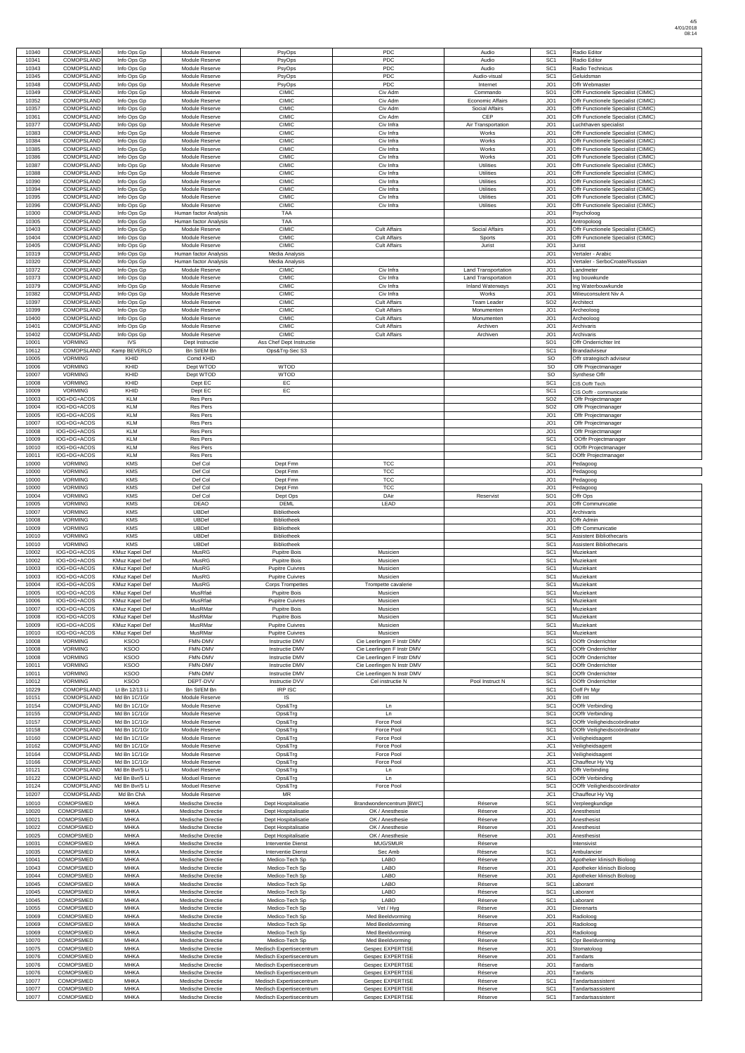| 10340                            | <b>COMOPSLAND</b> | Info Ops Gp           | Module Reserve        | PsyOps                   | <b>PDC</b>                 | Audio                      | SC <sub>1</sub> | Radio Editor                        |
|----------------------------------|-------------------|-----------------------|-----------------------|--------------------------|----------------------------|----------------------------|-----------------|-------------------------------------|
| 10341                            | COMOPSLAND        | Info Ops Gp           | Module Reserve        | PsyOps                   | <b>PDC</b>                 | Audio                      | SC <sub>1</sub> | Radio Editor                        |
| 10343                            | COMOPSLAND        | Info Ops Gp           | Module Reserve        | PsyOps                   | <b>PDC</b>                 | Audio                      | SC <sub>1</sub> | Radio Technicus                     |
|                                  |                   |                       |                       |                          |                            |                            |                 |                                     |
| 10345                            | COMOPSLAND        | Info Ops Gp           | Module Reserve        | PsyOps                   | <b>PDC</b>                 | Audio-visual               | SC <sub>1</sub> | Geluidsman                          |
| 10348                            | COMOPSLAND        | Info Ops Gp           | Module Reserve        | PsyOps                   | <b>PDC</b>                 | Internet                   | JO <sub>1</sub> | Offr Webmaster                      |
|                                  |                   |                       |                       |                          |                            |                            |                 |                                     |
| 10349                            | COMOPSLAND        | Info Ops Gp           | Module Reserve        | <b>CIMIC</b>             | Civ Adm                    | Commando                   | SO <sub>1</sub> | Offr Functionele Specialist (CIMIC) |
| 10352                            | COMOPSLAND        | Info Ops Gp           | Module Reserve        | <b>CIMIC</b>             | Civ Adm                    | <b>Economic Affairs</b>    | JO <sub>1</sub> | Offr Functionele Specialist (CIMIC) |
| 10357                            | COMOPSLAND        | Info Ops Gp           | Module Reserve        | <b>CIMIC</b>             | Civ Adm                    | Social Affairs             | JO <sub>1</sub> | Offr Functionele Specialist (CIMIC) |
|                                  |                   |                       |                       |                          |                            |                            |                 |                                     |
| 10361                            | COMOPSLAND        | Info Ops Gp           | Module Reserve        | <b>CIMIC</b>             | Civ Adm                    | <b>CEP</b>                 | JO <sub>1</sub> | Offr Functionele Specialist (CIMIC) |
| 10377                            | COMOPSLAND        | Info Ops Gp           | Module Reserve        | <b>CIMIC</b>             | Civ Infra                  | Air Transportation         | JO <sub>1</sub> | Luchthaven specialist               |
|                                  |                   |                       |                       |                          |                            |                            |                 |                                     |
| 10383                            | COMOPSLAND        | Info Ops Gp           | Module Reserve        | <b>CIMIC</b>             | Civ Infra                  | Works                      | JO <sub>1</sub> | Offr Functionele Specialist (CIMIC) |
| 10384                            | COMOPSLAND        | Info Ops Gp           | Module Reserve        | <b>CIMIC</b>             | Civ Infra                  | Works                      | JO <sub>1</sub> | Offr Functionele Specialist (CIMIC) |
| 10385                            | COMOPSLAND        | Info Ops Gp           | Module Reserve        | <b>CIMIC</b>             | Civ Infra                  | Works                      | JO <sub>1</sub> | Offr Functionele Specialist (CIMIC) |
|                                  |                   |                       |                       |                          |                            |                            |                 |                                     |
| 10386                            | COMOPSLAND        | Info Ops Gp           | Module Reserve        | <b>CIMIC</b>             | Civ Infra                  | Works                      | JO <sub>1</sub> | Offr Functionele Specialist (CIMIC) |
| 10387                            | COMOPSLAND        | Info Ops Gp           | Module Reserve        | <b>CIMIC</b>             | Civ Infra                  | Utilities                  | JO <sub>1</sub> | Offr Functionele Specialist (CIMIC) |
|                                  |                   |                       |                       |                          |                            |                            |                 |                                     |
| 10388                            | COMOPSLAND        | Info Ops Gp           | Module Reserve        | <b>CIMIC</b>             | Civ Infra                  | Utilities                  | JO <sub>1</sub> | Offr Functionele Specialist (CIMIC) |
| 10390                            | <b>COMOPSLAND</b> | Info Ops Gp           | Module Reserve        | <b>CIMIC</b>             | Civ Infra                  | Utilities                  | JO <sub>1</sub> | Offr Functionele Specialist (CIMIC) |
| 10394                            | COMOPSLAND        | Info Ops Gp           | Module Reserve        | <b>CIMIC</b>             | Civ Infra                  | Utilities                  | JO <sub>1</sub> | Offr Functionele Specialist (CIMIC) |
|                                  |                   |                       |                       |                          |                            |                            |                 |                                     |
| 10395                            | COMOPSLAND        | Info Ops Gp           | Module Reserve        | <b>CIMIC</b>             | Civ Infra                  | Utilities                  | JO <sub>1</sub> | Offr Functionele Specialist (CIMIC) |
| 10396                            | COMOPSLAND        | Info Ops Gp           | Module Reserve        | <b>CIMIC</b>             | Civ Infra                  | <b>Utilities</b>           | JO <sub>1</sub> | Offr Functionele Specialist (CIMIC) |
|                                  |                   |                       |                       | <b>TAA</b>               |                            |                            |                 |                                     |
| 10300                            | COMOPSLAND        | Info Ops Gp           | Human factor Analysis |                          |                            |                            | JO <sub>1</sub> | Psycholoog                          |
| 10305                            | COMOPSLAND        | Info Ops Gp           | Human factor Analysis | <b>TAA</b>               |                            |                            | JO <sub>1</sub> | Antropoloog                         |
| 10403                            | <b>COMOPSLAND</b> | Info Ops Gp           | Module Reserve        | <b>CIMIC</b>             | <b>Cult Affairs</b>        | Social Affairs             | JO <sub>1</sub> | Offr Functionele Specialist (CIMIC) |
|                                  |                   |                       |                       |                          |                            |                            |                 |                                     |
| 10404                            | COMOPSLAND        | Info Ops Gp           | Module Reserve        | <b>CIMIC</b>             | <b>Cult Affairs</b>        | Sports                     | JO <sub>1</sub> | Offr Functionele Specialist (CIMIC) |
| 10405                            | COMOPSLAND        | Info Ops Gp           | Module Reserve        | <b>CIMIC</b>             | <b>Cult Affairs</b>        | Jurist                     | JO <sub>1</sub> | Jurist                              |
|                                  |                   |                       |                       |                          |                            |                            |                 |                                     |
| 10319                            | COMOPSLAND        | Info Ops Gp           | Human factor Analysis | Media Analysis           |                            |                            | JO <sub>1</sub> | Vertaler - Arabic                   |
| 10320                            | COMOPSLAND        | Info Ops Gp           | Human factor Analysis | Media Analysis           |                            |                            | JO <sub>1</sub> | Vertaler - SerboCroate/Russian      |
| 10372                            | COMOPSLAND        | Info Ops Gp           | Module Reserve        | <b>CIMIC</b>             | Civ Infra                  | Land Transportation        | JO <sub>1</sub> | _andmeter                           |
|                                  |                   |                       |                       |                          |                            |                            |                 |                                     |
| 10373                            | COMOPSLAND        | Info Ops Gp           | Module Reserve        | <b>CIMIC</b>             | Civ Infra                  | <b>Land Transportation</b> | JO <sub>1</sub> | ng bouwkunde                        |
| 10379                            | COMOPSLAND        | Info Ops Gp           | Module Reserve        | <b>CIMIC</b>             | Civ Infra                  | Inland Waterways           | JO <sub>1</sub> | ng Waterbouwkunde                   |
|                                  |                   |                       |                       |                          |                            |                            |                 |                                     |
| 10382                            | COMOPSLAND        | Info Ops Gp           | Module Reserve        | <b>CIMIC</b>             | Civ Infra                  | Works                      | JO <sub>1</sub> | Milieuconsulent Niv A               |
| 10397                            | COMOPSLAND        | Info Ops Gp           | Module Reserve        | <b>CIMIC</b>             | <b>Cult Affairs</b>        | Team Leader                | SO <sub>2</sub> | Architect                           |
| 10399                            | COMOPSLAND        | Info Ops Gp           | Module Reserve        | <b>CIMIC</b>             | <b>Cult Affairs</b>        | Monumenten                 | JO <sub>1</sub> | Archeoloog                          |
|                                  |                   |                       |                       |                          |                            |                            |                 |                                     |
| 10400                            | COMOPSLAND        | Info Ops Gp           | Module Reserve        | <b>CIMIC</b>             | <b>Cult Affairs</b>        | Monumenten                 | JO <sub>1</sub> | Archeoloog                          |
| 10401                            | COMOPSLAND        | Info Ops Gp           | Module Reserve        | <b>CIMIC</b>             | <b>Cult Affairs</b>        | Archiven                   | JO <sub>1</sub> | Archivaris                          |
|                                  | COMOPSLAND        |                       |                       | <b>CIMIC</b>             |                            |                            | JO <sub>1</sub> |                                     |
| 10402                            |                   | Info Ops Gp           | Module Reserve        |                          | <b>Cult Affairs</b>        | Archiven                   |                 | Archivaris                          |
| 10001                            | <b>VORMING</b>    | <b>IVS</b>            | Dept Instructie       | Ass Chef Dept Instructie |                            |                            | SO <sub>1</sub> | Offr Onderrichter Int               |
| 10612                            | COMOPSLAND        | Kamp BEVERLO          | Bn St/EM Bn           | Ops&Trg-Sec S3           |                            |                            | SC <sub>1</sub> | Brandadviseur                       |
|                                  |                   |                       |                       |                          |                            |                            |                 |                                     |
| 10005                            | <b>VORMING</b>    | KHID                  | Comd KHID             |                          |                            |                            | <b>SO</b>       | Offr strategisch adviseur           |
| 10006                            | <b>VORMING</b>    | KHID                  | Dept WTOD             | <b>WTOD</b>              |                            |                            | <b>SO</b>       | Offr Projectmanager                 |
| 10007                            | <b>VORMING</b>    | KHID                  | Dept WTOD             | <b>WTOD</b>              |                            |                            | SO              | Synthese Offr                       |
|                                  |                   |                       |                       |                          |                            |                            |                 |                                     |
| 10008                            | <b>VORMING</b>    | KHID                  | Dept EC               | EC                       |                            |                            | SC <sub>1</sub> | CIS Ooffr Tech                      |
| 10009                            | <b>VORMING</b>    | KHID                  | Dept EC               | EC                       |                            |                            | SC <sub>1</sub> | CIS Ooffr - communicatie            |
|                                  |                   |                       |                       |                          |                            |                            |                 |                                     |
| 10003                            | IOG+DG+ACOS       | <b>KLM</b>            | Res Pers              |                          |                            |                            | SO <sub>2</sub> | Offr Projectmanager                 |
| 10004                            | IOG+DG+ACOS       | <b>KLM</b>            | <b>Res Pers</b>       |                          |                            |                            | SO <sub>2</sub> | Offr Projectmanager                 |
| 10005                            | IOG+DG+ACOS       | <b>KLM</b>            | <b>Res Pers</b>       |                          |                            |                            | JO <sub>1</sub> | Offr Projectmanager                 |
|                                  |                   |                       |                       |                          |                            |                            |                 |                                     |
| 10007                            | IOG+DG+ACOS       | <b>KLM</b>            | <b>Res Pers</b>       |                          |                            |                            | JO <sub>1</sub> | Offr Projectmanager                 |
| 10008                            | IOG+DG+ACOS       | <b>KLM</b>            | <b>Res Pers</b>       |                          |                            |                            | JO <sub>1</sub> | Offr Projectmanager                 |
|                                  |                   |                       |                       |                          |                            |                            |                 |                                     |
| 10009                            | IOG+DG+ACOS       | <b>KLM</b>            | Res Pers              |                          |                            |                            | SC <sub>1</sub> | OOffr Projectmanager                |
| 10010                            | IOG+DG+ACOS       | <b>KLM</b>            | Res Pers              |                          |                            |                            | SC <sub>1</sub> | OOffr Projectmanager                |
|                                  | IOG+DG+ACOS       | <b>KLM</b>            |                       |                          |                            |                            | SC <sub>1</sub> |                                     |
| 10011                            |                   |                       | Res Pers              |                          |                            |                            |                 | OOffr Projectmanager                |
| 10000                            | <b>VORMING</b>    | <b>KMS</b>            | Def Col               | Dept Fmn                 | <b>TCC</b>                 |                            | JO <sub>1</sub> | Pedagoog                            |
| 10000                            | <b>VORMING</b>    | <b>KMS</b>            | Def Col               | Dept Fmn                 | <b>TCC</b>                 |                            | JO <sub>1</sub> | Pedagoog                            |
|                                  |                   |                       |                       |                          |                            |                            |                 |                                     |
| 10000                            | <b>VORMING</b>    | <b>KMS</b>            | Def Col               | Dept Fmn                 | <b>TCC</b>                 |                            | JO <sub>1</sub> | Pedagoog                            |
| 10000                            | <b>VORMING</b>    | <b>KMS</b>            | Def Col               | Dept Fmn                 | <b>TCC</b>                 |                            | JO <sub>1</sub> | Pedagoog                            |
| 10004                            | <b>VORMING</b>    | <b>KMS</b>            | Def Col               | Dept Ops                 | DAir                       | Reservist                  | SO <sub>1</sub> | Offr Ops                            |
|                                  |                   |                       |                       |                          |                            |                            |                 |                                     |
| 10005                            | <b>VORMING</b>    | <b>KMS</b>            | <b>DEAO</b>           | <b>DEML</b>              | LEAD                       |                            | JO <sub>1</sub> | Offr Communicatie                   |
| 10007                            | <b>VORMING</b>    | <b>KMS</b>            | <b>UBDef</b>          | Bibliotheek              |                            |                            | JO <sub>1</sub> | Archivaris                          |
|                                  |                   |                       |                       |                          |                            |                            |                 |                                     |
| 10008                            | <b>VORMING</b>    | <b>KMS</b>            | <b>UBDef</b>          | <b>Bibliotheek</b>       |                            |                            | JO <sub>1</sub> | Offr Admin                          |
| 10009                            | <b>VORMING</b>    | <b>KMS</b>            | <b>UBDef</b>          | Bibliotheek              |                            |                            | JO <sub>1</sub> | Offr Communicatie                   |
| 10010                            | <b>VORMING</b>    | <b>KMS</b>            | <b>UBDef</b>          | Bibliotheek              |                            |                            | SC <sub>1</sub> | <b>Assistent Bibliothecaris</b>     |
|                                  |                   |                       |                       |                          |                            |                            |                 |                                     |
| 10010                            | <b>VORMING</b>    | <b>KMS</b>            | <b>UBDef</b>          | Bibliotheek              |                            |                            | SC <sub>1</sub> | Assistent Bibliothecaris            |
| 10002                            | IOG+DG+ACOS       | KMuz Kapel Def        | MusRG                 | Pupitre Bois             | Musicien                   |                            | SC <sub>1</sub> | Muziekant                           |
| 10002                            | IOG+DG+ACOS       | KMuz Kapel Def        | MusRG                 | <b>Pupitre Bois</b>      | Musicien                   |                            | SC <sub>1</sub> | Muziekant                           |
|                                  |                   |                       |                       |                          |                            |                            |                 |                                     |
| 10003                            | IOG+DG+ACOS       | KMuz Kapel Def        | MusRG                 | <b>Pupitre Cuivres</b>   | Musicien                   |                            | SC <sub>1</sub> | Muziekant                           |
| 10003                            | IOG+DG+ACOS       | KMuz Kapel Def        | MusRG                 | <b>Pupitre Cuivres</b>   | Musicien                   |                            | SC <sub>1</sub> | Muziekant                           |
|                                  |                   | KMuz Kapel Def        |                       |                          |                            |                            |                 |                                     |
| 10004                            | IOG+DG+ACOS       |                       | MusRG                 | <b>Corps Trompettes</b>  | Trompette cavalerie        |                            | SC <sub>1</sub> | Muziekant                           |
| 10005                            | IOG+DG+ACOS       | KMuz Kapel Def        | MusRfaé               | <b>Pupitre Bois</b>      | Musicien                   |                            | SC <sub>1</sub> | Muziekant                           |
| 10006                            | IOG+DG+ACOS       | KMuz Kapel Def        | MusRfaé               | <b>Pupitre Cuivres</b>   | Musicien                   |                            | SC <sub>1</sub> | Muziekant                           |
|                                  |                   |                       |                       |                          |                            |                            |                 |                                     |
| 10007                            | IOG+DG+ACOS       | KMuz Kapel Def        | MusRMar               | <b>Pupitre Bois</b>      | Musicien                   |                            | SC <sub>1</sub> | Muziekant                           |
| 10008                            | IOG+DG+ACOS       | KMuz Kapel Def        | MusRMar               | Pupitre Bois             | Musicien                   |                            | SC <sub>1</sub> | Muziekant                           |
| 10009                            | IOG+DG+ACOS       | <b>KMuz Kapel Def</b> | MusRMar               | <b>Pupitre Cuivres</b>   | Musicien                   |                            | SC <sub>1</sub> | Muziekant                           |
|                                  |                   |                       |                       |                          |                            |                            |                 |                                     |
| 10010                            | IOG+DG+ACOS       | <b>KMuz Kapel Def</b> | MusRMar               | <b>Pupitre Cuivres</b>   | Musicien                   |                            | SC <sub>1</sub> | Muziekant                           |
| 10008                            | <b>VORMING</b>    | <b>KSOO</b>           | FMN-DMV               | Instructie DMV           | Cie Leerlingen F Instr DMV |                            | SC <sub>1</sub> | OOffr Onderrichter                  |
|                                  |                   |                       |                       |                          |                            |                            |                 |                                     |
| 10008                            | <b>VORMING</b>    | <b>KSOO</b>           | FMN-DMV               | Instructie DMV           | Cie Leerlingen F Instr DMV |                            | SC <sub>1</sub> | OOffr Onderrichter                  |
| 10008                            | <b>VORMING</b>    | <b>KSOO</b>           | FMN-DMV               | Instructie DMV           | Cie Leerlingen F Instr DMV |                            | SC <sub>1</sub> | OOffr Onderrichter                  |
| 10011                            | <b>VORMING</b>    | <b>KSOO</b>           | FMN-DMV               | Instructie DMV           | Cie Leerlingen N Instr DMV |                            | SC <sub>1</sub> | OOffr Onderrichter                  |
|                                  |                   |                       |                       |                          |                            |                            |                 |                                     |
| 10011                            | <b>VORMING</b>    | <b>KSOO</b>           | FMN-DMV               | Instructie DMV           | Cie Leerlingen N Instr DMV |                            | SC <sub>1</sub> | OOffr Onderrichter                  |
| 10012                            | <b>VORMING</b>    | <b>KSOO</b>           | DEPT-DVV              | Instructie DVV           | Cel instructie N           | Pool Instruct N            | SC <sub>1</sub> | OOffr Onderrichter                  |
|                                  |                   |                       |                       |                          |                            |                            |                 |                                     |
| 10229                            | COMOPSLAND        | Lt Bn 12/13 Li        | Bn St/EM Bn           | <b>IRP ISC</b>           |                            |                            | SC <sub>1</sub> | Ooff Pr Mgr                         |
| 10151                            | COMOPSLAND        | Md Bn 1C/1Gr          | Module Reserve        | IS                       |                            |                            | JO <sub>1</sub> | Offr Int                            |
|                                  | COMOPSLAND        |                       |                       |                          |                            |                            |                 |                                     |
| 10154                            |                   | Md Bn 1C/1Gr          | Module Reserve        | Ops&Trg                  | Ln                         |                            | SC <sub>1</sub> | OOffr Verbinding                    |
| 10155                            | COMOPSLAND        | Md Bn 1C/1Gr          | Module Reserve        | Ops&Trg                  | Ln                         |                            | SC <sub>1</sub> | OOffr Verbinding                    |
| 10157                            | COMOPSLAND        | Md Bn 1C/1Gr          | Module Reserve        | Ops&Trg                  | Force Pool                 |                            | SC <sub>1</sub> | OOffr Veiligheidscoördinator        |
|                                  |                   |                       |                       |                          |                            |                            |                 |                                     |
| 10158                            | COMOPSLAND        | Md Bn 1C/1Gr          | Module Reserve        | Ops&Trg                  | Force Pool                 |                            | SC <sub>1</sub> | OOffr Veiligheidscoördinator        |
| 10160                            | COMOPSLAND        | Md Bn 1C/1Gr          | Module Reserve        | Ops&Trg                  | Force Pool                 |                            | JC1             | Veiligheidsagent                    |
| 10162                            | COMOPSLAND        | Md Bn 1C/1Gr          |                       |                          | Force Pool                 |                            | JC1             | Veiligheidsagent                    |
|                                  |                   |                       | Module Reserve        | Ops&Trg                  |                            |                            |                 |                                     |
|                                  |                   |                       |                       | Ops&Trg                  | Force Pool                 |                            | JC1             | Veiligheidsagent                    |
|                                  | COMOPSLAND        | Md Bn 1C/1Gr          | Module Reserve        |                          |                            |                            |                 |                                     |
|                                  |                   |                       |                       |                          |                            |                            |                 |                                     |
|                                  | COMOPSLAND        | Md Bn 1C/1Gr          | Module Reserve        | Ops&Trg                  | Force Pool                 |                            | JC1             | Chauffeur Hy Vtg                    |
|                                  | COMOPSLAND        | Md Bn Bvr/5 Li        | Moduel Reserve        | Ops&Trg                  | Ln                         |                            | JO <sub>1</sub> | Offr Verbinding                     |
| 10164<br>10166<br>10121<br>10122 | COMOPSLAND        | Md Bn Bvr/5 Li        | Moduel Reserve        | Ops&Trg                  | Ln                         |                            | SC <sub>1</sub> | OOffr Verbinding                    |

| 10207 | COMOPSLAND       | Md Bn ChA   | Module Reserve    | <b>MR</b>                 |                          |         | JC1             | Chauffeur Hy Vtg           |
|-------|------------------|-------------|-------------------|---------------------------|--------------------------|---------|-----------------|----------------------------|
| 10010 | <b>COMOPSMED</b> | <b>MHKA</b> | Medische Directie | Dept Hospitalisatie       | Brandwondencentrum [BWC] | Réserve | SC <sub>1</sub> | Verpleeakundiae            |
| 10020 | <b>COMOPSMED</b> | <b>MHKA</b> | Medische Directie | Dept Hospitalisatie       | OK / Anesthesie          | Réserve | JO <sub>1</sub> | Anesthesist                |
| 10021 | <b>COMOPSMED</b> | <b>MHKA</b> | Medische Directie | Dept Hospitalisatie       | OK / Anesthesie          | Réserve | JO <sub>1</sub> | Anesthesist                |
| 10022 | <b>COMOPSMED</b> | <b>MHKA</b> | Medische Directie | Dept Hospitalisatie       | OK / Anesthesie          | Réserve | JO <sub>1</sub> | Anesthesist                |
| 10025 | <b>COMOPSMED</b> | <b>MHKA</b> | Medische Directie | Dept Hospitalisatie       | OK / Anesthesie          | Réserve | JO <sub>1</sub> | Anesthesist                |
| 10031 | <b>COMOPSMED</b> | <b>MHKA</b> | Medische Directie | <b>Interventie Dienst</b> | MUG/SMUR                 | Réserve |                 | Intensivist                |
| 10035 | COMOPSMED        | <b>MHKA</b> | Medische Directie | <b>Interventie Dienst</b> | Sec Amb                  | Réserve | SC <sub>1</sub> | Ambulancier                |
| 10041 | <b>COMOPSMED</b> | <b>MHKA</b> | Medische Directie | Medico-Tech Sp            | LABO                     | Réserve | JO <sub>1</sub> | Apotheker klinisch Bioloog |
| 10043 | <b>COMOPSMED</b> | <b>MHKA</b> | Medische Directie | Medico-Tech Sp            | <b>LABO</b>              | Réserve | JO <sub>1</sub> | Apotheker klinisch Bioloog |
| 10044 | <b>COMOPSMED</b> | <b>MHKA</b> | Medische Directie | Medico-Tech Sp            | <b>LABO</b>              | Réserve | JO <sub>1</sub> | Apotheker klinisch Bioloog |
| 10045 | <b>COMOPSMED</b> | <b>MHKA</b> | Medische Directie | Medico-Tech Sp            | LABO                     | Réserve | SC <sub>1</sub> | Laborant                   |
| 10045 | <b>COMOPSMED</b> | <b>MHKA</b> | Medische Directie | Medico-Tech Sp            | LABO                     | Réserve | SC <sub>1</sub> | Laborant                   |
| 10045 | <b>COMOPSMED</b> | <b>MHKA</b> | Medische Directie | Medico-Tech Sp            | <b>LABO</b>              | Réserve | SC <sub>1</sub> | Laborant                   |
| 10055 | <b>COMOPSMED</b> | <b>MHKA</b> | Medische Directie | Medico-Tech Sp            | Vet / Hva                | Réserve | JO <sub>1</sub> | <b>Dierenarts</b>          |
| 10069 | <b>COMOPSMED</b> | <b>MHKA</b> | Medische Directie | Medico-Tech Sp            | Med Beeldvorming         | Réserve | JO <sub>1</sub> | Radioloog                  |
| 10069 | <b>COMOPSMED</b> | <b>MHKA</b> | Medische Directie | Medico-Tech Sp            | Med Beeldvorming         | Réserve | JO <sub>1</sub> | Radioloog                  |
| 10069 | <b>COMOPSMED</b> | <b>MHKA</b> | Medische Directie | Medico-Tech Sp            | Med Beeldvorming         | Réserve | JO <sub>1</sub> | Radioloog                  |
| 10070 | <b>COMOPSMED</b> | <b>MHKA</b> | Medische Directie | Medico-Tech Sp            | Med Beeldvorming         | Réserve | SC <sub>1</sub> | Opr Beeldvorming           |
| 10075 | <b>COMOPSMED</b> | <b>MHKA</b> | Medische Directie | Medisch Expertisecentrum  | Gespec EXPERTISE         | Réserve | JO <sub>1</sub> | Stomatoloog                |
| 10076 | <b>COMOPSMED</b> | <b>MHKA</b> | Medische Directie | Medisch Expertisecentrum  | <b>Gespec EXPERTISE</b>  | Réserve | JO <sub>1</sub> | Tandarts                   |
| 10076 | <b>COMOPSMED</b> | <b>MHKA</b> | Medische Directie | Medisch Expertisecentrum  | <b>Gespec EXPERTISE</b>  | Réserve | JO <sub>1</sub> | Tandarts                   |
| 10076 | <b>COMOPSMED</b> | <b>MHKA</b> | Medische Directie | Medisch Expertisecentrum  | <b>Gespec EXPERTISE</b>  | Réserve | JO <sub>1</sub> | Tandarts                   |
| 10077 | COMOPSMED        | <b>MHKA</b> | Medische Directie | Medisch Expertisecentrum  | <b>Gespec EXPERTISE</b>  | Réserve | SC <sub>1</sub> | Tandartsassistent          |
| 10077 | <b>COMOPSMED</b> | <b>MHKA</b> | Medische Directie | Medisch Expertisecentrum  | <b>Gespec EXPERTISE</b>  | Réserve | SC <sub>1</sub> | Tandartsassistent          |
| 10077 | <b>COMOPSMED</b> | <b>MHKA</b> | Medische Directie | Medisch Expertisecentrum  | <b>Gespec EXPERTISE</b>  | Réserve | SC <sub>1</sub> | Tandartsassistent          |